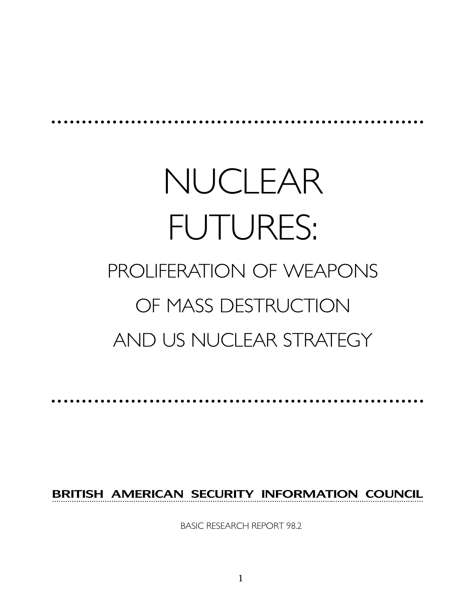# NUCLEAR FUTURES: PROLIFERATION OF WEAPONS OF MASS DESTRUCTION AND US NUCLEAR STRATEGY

aaaaaaaaaaaaaaaaaaaaaaaaaaaaaaaaaaaaaaaaaaaaaaaaaaaaaaa aaaaaa

BRITISH AMERICAN SECURITY INFORMATION COUNCIL

aaaaaaaaaaaaaaaaaaaaaaaaaaaaaaaaaaaaaaaaaaaaaaaaaaaaaaa aaaaaa

BASIC RESEARCH REPORT 98.2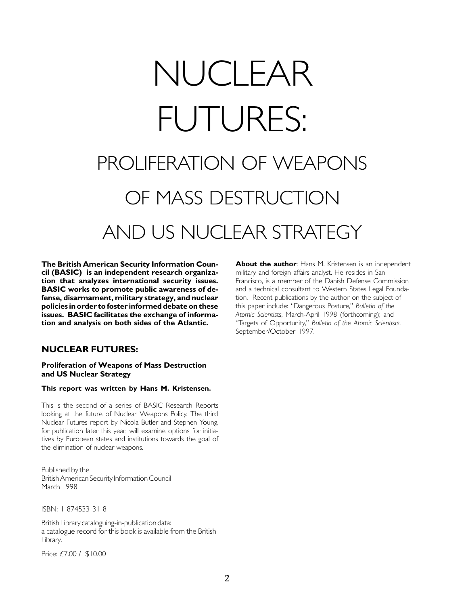# NUCLEAR FUTURES: PROLIFERATION OF WEAPONS OF MASS DESTRUCTION AND US NUCLEAR STRATEGY

The British American Security Information Council (BASIC) is an independent research organization that analyzes international security issues. BASIC works to promote public awareness of defense, disarmament, military strategy, and nuclear policies in order to foster informed debate on these issues. BASIC facilitates the exchange of information and analysis on both sides of the Atlantic.

# NUCLEAR FUTURES:

#### Proliferation of Weapons of Mass Destruction and US Nuclear Strategy

#### This report was written by Hans M. Kristensen.

This is the second of a series of BASIC Research Reports looking at the future of Nuclear Weapons Policy. The third Nuclear Futures report by Nicola Butler and Stephen Young, for publication later this year, will examine options for initiatives by European states and institutions towards the goal of the elimination of nuclear weapons.

Published by the British American Security Information Council March 1998

ISBN: 1 874533 31 8

British Library cataloguing-in-publication data: a catalogue record for this book is available from the British Library.

Price: £7.00 / \$10.00

About the author: Hans M. Kristensen is an independent military and foreign affairs analyst. He resides in San Francisco, is a member of the Danish Defense Commission and a technical consultant to Western States Legal Foundation. Recent publications by the author on the subject of this paper include: "Dangerous Posture," Bulletin of the Atomic Scientists, March-April 1998 (forthcoming); and "Targets of Opportunity," Bulletin of the Atomic Scientists, September/October 1997.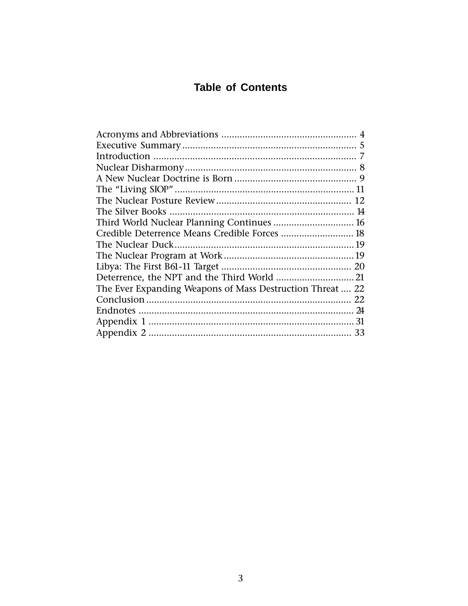# **Table of Contents**

| Third World Nuclear Planning Continues  16                |  |
|-----------------------------------------------------------|--|
| Credible Deterrence Means Credible Forces  18             |  |
|                                                           |  |
|                                                           |  |
|                                                           |  |
|                                                           |  |
| The Ever Expanding Weapons of Mass Destruction Threat  22 |  |
|                                                           |  |
|                                                           |  |
|                                                           |  |
|                                                           |  |
|                                                           |  |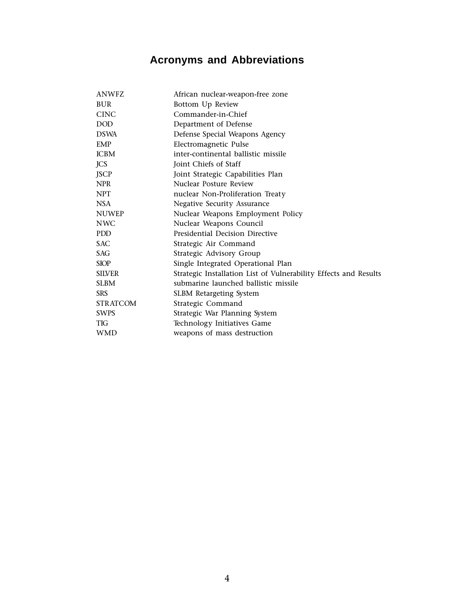# **Acronyms and Abbreviations**

| <b>BUR</b><br>Bottom Up Review<br><b>CINC</b><br>Commander-in-Chief<br><b>DOD</b><br>Department of Defense<br>Defense Special Weapons Agency<br><b>DSWA</b><br>Electromagnetic Pulse<br><b>EMP</b><br><b>ICBM</b><br>inter-continental ballistic missile<br><b>JCS</b><br>Joint Chiefs of Staff<br><b>JSCP</b><br>Joint Strategic Capabilities Plan<br>Nuclear Posture Review<br><b>NPR</b><br><b>NPT</b><br>nuclear Non-Proliferation Treaty<br><b>NSA</b><br>Negative Security Assurance<br><b>NUWEP</b><br>Nuclear Weapons Employment Policy<br>Nuclear Weapons Council<br><b>NWC</b><br>Presidential Decision Directive<br>PDD.<br><b>SAC</b><br>Strategic Air Command |            |                                                                  |
|----------------------------------------------------------------------------------------------------------------------------------------------------------------------------------------------------------------------------------------------------------------------------------------------------------------------------------------------------------------------------------------------------------------------------------------------------------------------------------------------------------------------------------------------------------------------------------------------------------------------------------------------------------------------------|------------|------------------------------------------------------------------|
|                                                                                                                                                                                                                                                                                                                                                                                                                                                                                                                                                                                                                                                                            |            |                                                                  |
|                                                                                                                                                                                                                                                                                                                                                                                                                                                                                                                                                                                                                                                                            |            |                                                                  |
|                                                                                                                                                                                                                                                                                                                                                                                                                                                                                                                                                                                                                                                                            |            |                                                                  |
|                                                                                                                                                                                                                                                                                                                                                                                                                                                                                                                                                                                                                                                                            |            |                                                                  |
|                                                                                                                                                                                                                                                                                                                                                                                                                                                                                                                                                                                                                                                                            |            |                                                                  |
|                                                                                                                                                                                                                                                                                                                                                                                                                                                                                                                                                                                                                                                                            |            |                                                                  |
|                                                                                                                                                                                                                                                                                                                                                                                                                                                                                                                                                                                                                                                                            |            |                                                                  |
|                                                                                                                                                                                                                                                                                                                                                                                                                                                                                                                                                                                                                                                                            |            |                                                                  |
|                                                                                                                                                                                                                                                                                                                                                                                                                                                                                                                                                                                                                                                                            |            |                                                                  |
|                                                                                                                                                                                                                                                                                                                                                                                                                                                                                                                                                                                                                                                                            |            |                                                                  |
|                                                                                                                                                                                                                                                                                                                                                                                                                                                                                                                                                                                                                                                                            |            |                                                                  |
|                                                                                                                                                                                                                                                                                                                                                                                                                                                                                                                                                                                                                                                                            |            |                                                                  |
|                                                                                                                                                                                                                                                                                                                                                                                                                                                                                                                                                                                                                                                                            |            |                                                                  |
|                                                                                                                                                                                                                                                                                                                                                                                                                                                                                                                                                                                                                                                                            |            |                                                                  |
|                                                                                                                                                                                                                                                                                                                                                                                                                                                                                                                                                                                                                                                                            |            |                                                                  |
|                                                                                                                                                                                                                                                                                                                                                                                                                                                                                                                                                                                                                                                                            | <b>SAG</b> | Strategic Advisory Group                                         |
| <b>SIOP</b><br>Single Integrated Operational Plan                                                                                                                                                                                                                                                                                                                                                                                                                                                                                                                                                                                                                          |            |                                                                  |
| <b>SILVER</b>                                                                                                                                                                                                                                                                                                                                                                                                                                                                                                                                                                                                                                                              |            | Strategic Installation List of Vulnerability Effects and Results |
| submarine launched ballistic missile<br><b>SLBM</b>                                                                                                                                                                                                                                                                                                                                                                                                                                                                                                                                                                                                                        |            |                                                                  |
| <b>SRS</b><br><b>SLBM Retargeting System</b>                                                                                                                                                                                                                                                                                                                                                                                                                                                                                                                                                                                                                               |            |                                                                  |
| <b>STRATCOM</b><br>Strategic Command                                                                                                                                                                                                                                                                                                                                                                                                                                                                                                                                                                                                                                       |            |                                                                  |
| <b>SWPS</b><br>Strategic War Planning System                                                                                                                                                                                                                                                                                                                                                                                                                                                                                                                                                                                                                               |            |                                                                  |
| <b>TIG</b><br>Technology Initiatives Game                                                                                                                                                                                                                                                                                                                                                                                                                                                                                                                                                                                                                                  |            |                                                                  |
| weapons of mass destruction<br><b>WMD</b>                                                                                                                                                                                                                                                                                                                                                                                                                                                                                                                                                                                                                                  |            |                                                                  |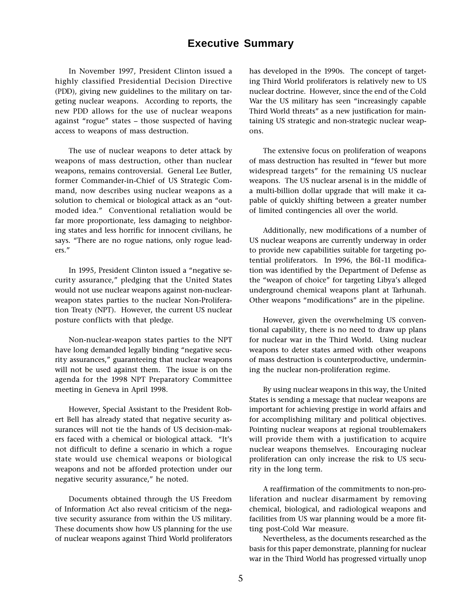# **Executive Summary**

In November 1997, President Clinton issued a highly classified Presidential Decision Directive (PDD), giving new guidelines to the military on targeting nuclear weapons. According to reports, the new PDD allows for the use of nuclear weapons against "rogue" states  $-$  those suspected of having access to weapons of mass destruction.

The use of nuclear weapons to deter attack by weapons of mass destruction, other than nuclear weapons, remains controversial. General Lee Butler, former Commander-in-Chief of US Strategic Command, now describes using nuclear weapons as a solution to chemical or biological attack as an "outmoded idea." Conventional retaliation would be far more proportionate, less damaging to neighboring states and less horrific for innocent civilians, he says. "There are no rogue nations, only rogue leaders.

In 1995, President Clinton issued a "negative security assurance," pledging that the United States would not use nuclear weapons against non-nuclearweapon states parties to the nuclear Non-Proliferation Treaty (NPT). However, the current US nuclear posture conflicts with that pledge.

Non-nuclear-weapon states parties to the NPT have long demanded legally binding "negative security assurances," guaranteeing that nuclear weapons will not be used against them. The issue is on the agenda for the 1998 NPT Preparatory Committee meeting in Geneva in April 1998.

However, Special Assistant to the President Robert Bell has already stated that negative security assurances will not tie the hands of US decision-makers faced with a chemical or biological attack. "It's not difficult to define a scenario in which a rogue state would use chemical weapons or biological weapons and not be afforded protection under our negative security assurance," he noted.

Documents obtained through the US Freedom of Information Act also reveal criticism of the negative security assurance from within the US military. These documents show how US planning for the use of nuclear weapons against Third World proliferators

has developed in the 1990s. The concept of targeting Third World proliferators is relatively new to US nuclear doctrine. However, since the end of the Cold War the US military has seen "increasingly capable Third World threats" as a new justification for maintaining US strategic and non-strategic nuclear weapons.

The extensive focus on proliferation of weapons of mass destruction has resulted in "fewer but more widespread targets" for the remaining US nuclear weapons. The US nuclear arsenal is in the middle of a multi-billion dollar upgrade that will make it capable of quickly shifting between a greater number of limited contingencies all over the world.

Additionally, new modifications of a number of US nuclear weapons are currently underway in order to provide new capabilities suitable for targeting potential proliferators. In 1996, the B61-11 modification was identified by the Department of Defense as the "weapon of choice" for targeting Libya's alleged underground chemical weapons plant at Tarhunah. Other weapons "modifications" are in the pipeline.

However, given the overwhelming US conventional capability, there is no need to draw up plans for nuclear war in the Third World. Using nuclear weapons to deter states armed with other weapons of mass destruction is counterproductive, undermining the nuclear non-proliferation regime.

By using nuclear weapons in this way, the United States is sending a message that nuclear weapons are important for achieving prestige in world affairs and for accomplishing military and political objectives. Pointing nuclear weapons at regional troublemakers will provide them with a justification to acquire nuclear weapons themselves. Encouraging nuclear proliferation can only increase the risk to US security in the long term.

A reaffirmation of the commitments to non-proliferation and nuclear disarmament by removing chemical, biological, and radiological weapons and facilities from US war planning would be a more fitting post-Cold War measure.

Nevertheless, as the documents researched as the basis for this paper demonstrate, planning for nuclear war in the Third World has progressed virtually unop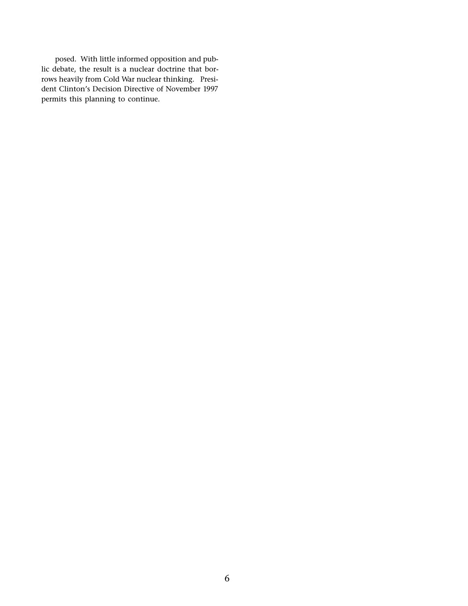posed. With little informed opposition and public debate, the result is a nuclear doctrine that borrows heavily from Cold War nuclear thinking. President Clinton's Decision Directive of November 1997 permits this planning to continue.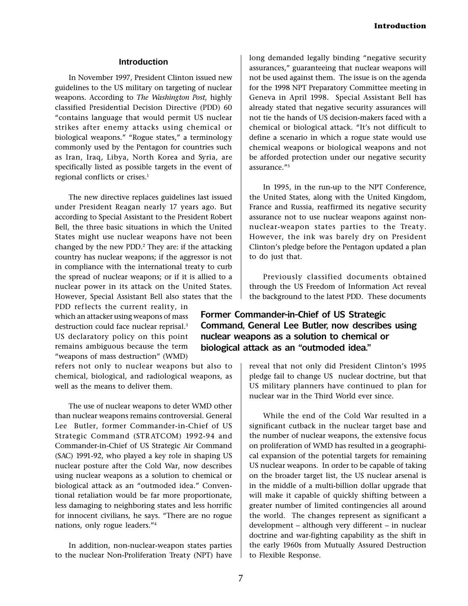#### **Introduction**

In November 1997, President Clinton issued new guidelines to the US military on targeting of nuclear weapons. According to The Washington Post, highly classified Presidential Decision Directive (PDD) 60 contains language that would permit US nuclear strikes after enemy attacks using chemical or biological weapons." "Rogue states," a terminology commonly used by the Pentagon for countries such as Iran, Iraq, Libya, North Korea and Syria, are specifically listed as possible targets in the event of regional conflicts or crises.<sup>1</sup>

The new directive replaces guidelines last issued under President Reagan nearly 17 years ago. But according to Special Assistant to the President Robert Bell, the three basic situations in which the United States might use nuclear weapons have not been changed by the new PDD.<sup>2</sup> They are: if the attacking country has nuclear weapons; if the aggressor is not in compliance with the international treaty to curb the spread of nuclear weapons; or if it is allied to a nuclear power in its attack on the United States. However, Special Assistant Bell also states that the

PDD reflects the current reality, in which an attacker using weapons of mass destruction could face nuclear reprisal.<sup>3</sup> US declaratory policy on this point remains ambiguous because the term "weapons of mass destruction" (WMD)

refers not only to nuclear weapons but also to chemical, biological, and radiological weapons, as well as the means to deliver them.

The use of nuclear weapons to deter WMD other than nuclear weapons remains controversial. General Lee Butler, former Commander-in-Chief of US Strategic Command (STR ATCOM) 1992-94 and Commander-in-Chief of US Strategic Air Command (SAC) 1991-92, who played a key role in shaping US nuclear posture after the Cold War, now describes using nuclear weapons as a solution to chemical or biological attack as an "outmoded idea." Conventional retaliation would be far more proportionate, less damaging to neighboring states and less horrific for innocent civilians, he says. "There are no rogue nations, only rogue leaders."<sup>4</sup>

In addition, non-nuclear-weapon states parties to the nuclear Non-Proliferation Treaty (NPT) have long demanded legally binding "negative security assurances," guaranteeing that nuclear weapons will not be used against them. The issue is on the agenda for the 1998 NPT Preparatory Committee meeting in Geneva in April 1998. Special Assistant Bell has already stated that negative security assurances will not tie the hands of US decision-makers faced with a chemical or biological attack. "It's not difficult to define a scenario in which a rogue state would use chemical weapons or biological weapons and not be afforded protection under our negative security assurance."<sup>5</sup>

In 1995, in the run-up to the NPT Conference, the United States, along with the United Kingdom, France and Russia, reaffirmed its negative security assurance not to use nuclear weapons against nonnuclear-weapon states parties to the Treaty. However, the ink was barely dry on President Clinton's pledge before the Pentagon updated a plan to do just that.

Previously classified documents obtained through the US Freedom of Information Act reveal the background to the latest PDD. These documents

# Former Commander-in-Chief of US Strategic Command, General Lee Butler, now describes using nuclear weapons as a solution to chemical or biological attack as an "outmoded idea."

reveal that not only did President Clinton's 1995 pledge fail to change US nuclear doctrine, but that US military planners have continued to plan for nuclear war in the Third World ever since.

While the end of the Cold War resulted in a significant cutback in the nuclear target base and the number of nuclear weapons, the extensive focus on proliferation of WMD has resulted in a geographical expansion of the potential targets for remaining US nuclear weapons. In order to be capable of taking on the broader target list, the US nuclear arsenal is in the middle of a multi-billion dollar upgrade that will make it capable of quickly shifting between a greater number of limited contingencies all around the world. The changes represent as significant a development - although very different - in nuclear doctrine and war-fighting capability as the shift in the early 1960s from Mutually Assured Destruction to Flexible Response.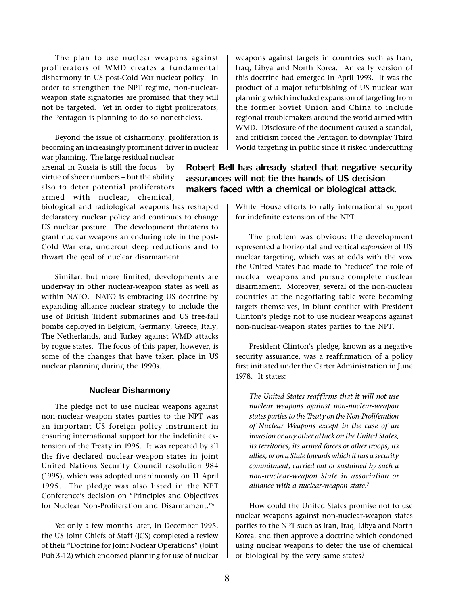The plan to use nuclear weapons against proliferators of WMD creates a fundamental disharmony in US post-Cold War nuclear policy. In order to strengthen the NPT regime, non-nuclearweapon state signatories are promised that they will not be targeted. Yet in order to fight proliferators, the Pentagon is planning to do so nonetheless.

Beyond the issue of disharmony, proliferation is becoming an increasingly prominent driver in nuclear

war planning. The large residual nuclear arsenal in Russia is still the focus  $-$  by virtue of sheer numbers - but the ability also to deter potential proliferators armed with nuclear, chemical,

biological and radiological weapons has reshaped declaratory nuclear policy and continues to change US nuclear posture. The development threatens to grant nuclear weapons an enduring role in the post-Cold War era, undercut deep reductions and to thwart the goal of nuclear disarmament.

Similar, but more limited, developments are underway in other nuclear-weapon states as well as within NATO. NATO is embracing US doctrine by expanding alliance nuclear strategy to include the use of British Trident submarines and US free-fall bombs deployed in Belgium, Germany, Greece, Italy, The Netherlands, and Turkey against WMD attacks by rogue states. The focus of this paper, however, is some of the changes that have taken place in US nuclear planning during the 1990s.

#### **Nuclear Disharmony**

The pledge not to use nuclear weapons against non-nuclear-weapon states parties to the NPT was an important US foreign policy instrument in ensuring international support for the indefinite extension of the Treaty in 1995. It was repeated by all the five declared nuclear-weapon states in joint United Nations Security Council resolution 984 (1995), which was adopted unanimously on 11 April 1995. The pledge was also listed in the NPT Conference's decision on "Principles and Objectives for Nuclear Non-Proliferation and Disarmament."<sup>6</sup>

Yet only a few months later, in December 1995, the US Joint Chiefs of Staff (JCS) completed a review of their "Doctrine for Joint Nuclear Operations" (Joint Pub 3-12) which endorsed planning for use of nuclear weapons against targets in countries such as Iran, Iraq, Libya and North Korea. An early version of this doctrine had emerged in April 1993. It was the product of a major refurbishing of US nuclear war planning which included expansion of targeting from the former Soviet Union and China to include regional troublemakers around the world armed with WMD. Disclosure of the document caused a scandal, and criticism forced the Pentagon to downplay Third World targeting in public since it risked undercutting

# Robert Bell has already stated that negative security assurances will not tie the hands of US decision makers faced with a chemical or biological attack.

White House efforts to rally international support for indefinite extension of the NPT.

The problem was obvious: the development represented a horizontal and vertical expansion of US nuclear targeting, which was at odds with the vow the United States had made to "reduce" the role of nuclear weapons and pursue complete nuclear disarmament. Moreover, several of the non-nuclear countries at the negotiating table were becoming targets themselves, in blunt conflict with President Clinton's pledge not to use nuclear weapons against non-nuclear-weapon states parties to the NPT.

President Clinton's pledge, known as a negative security assurance, was a reaffirmation of a policy first initiated under the Carter Administration in June 1978. It states:

The United States reaffirms that it will not use nuclear weapons against non-nuclear-weapon states parties to the Treaty on the Non-Proliferation of Nuclear Weapons except in the case of an invasion or any other at tack on the United States, its ter ritories, its armed forces or other troops, its allies, or on a State towards which it has a security commitment, carried out or sustained by such a non-nuclear-weapon State in association or alliance with a nuclear-weapon state. $<sup>7</sup>$ </sup>

How could the United States promise not to use nuclear weapons against non-nuclear-weapon states parties to the NPT such as Iran, Iraq, Libya and North Korea, and then approve a doctrine which condoned using nuclear weapons to deter the use of chemical or biological by the very same states?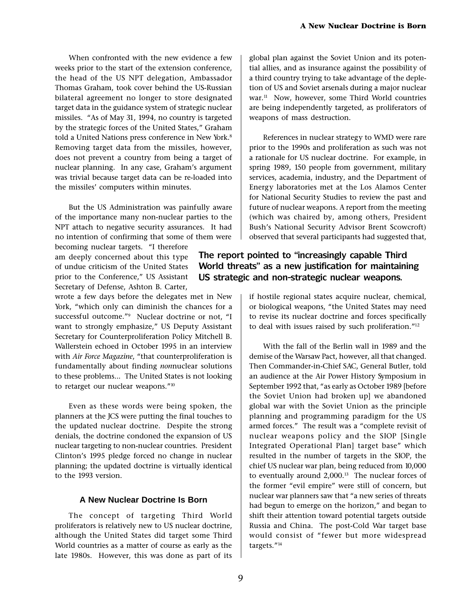When confronted with the new evidence a few weeks prior to the start of the extension conference, the head of the US NPT delegation, Ambassador Thomas Graham, took cover behind the US-Russian bilateral agreement no longer to store designated target data in the guidance system of strategic nuclear missiles. "As of May 31, 1994, no country is targeted by the strategic forces of the United States," Graham told a United Nations press conference in New York.<sup>8</sup> Removing target data from the missiles, however, does not prevent a country from being a target of nuclear planning. In any case, Graham's argument was trivial because target data can be re-loaded into the missiles' computers within minutes.

But the US Administration was painfully aware of the importance many non-nuclear parties to the NPT attach to negative security assurances. It had no intention of confirming that some of them were

becoming nuclear targets. "I therefore am deeply concerned about this type of undue criticism of the United States prior to the Conference." US Assistant Secretary of Defense, Ashton B. Carter,

wrote a few days before the delegates met in New York, "which only can diminish the chances for a successful outcome."<sup>9</sup> Nuclear doctrine or not, "I want to strongly emphasize," US Deputy Assistant Secretary for Counterproliferation Policy Mitchell B. Wallerstein echoed in October 1995 in an interview with Air Force Magazine, "that counterproliferation is fundamentally about finding nonnuclear solutions to these problems... The United States is not looking to retarget our nuclear weapons." $10$ 

Even as these words were being spoken, the planners at the JCS were putting the final touches to the updated nuclear doctrine. Despite the strong denials, the doctrine condoned the expansion of US nuclear targeting to non-nuclear countries. President Clinton's 1995 pledge forced no change in nuclear planning; the updated doctrine is virtually identical to the 1993 version.

#### **A New Nuclear Doctrine Is Born**

The concept of targeting Third World proliferators is relatively new to US nuclear doctrine, although the United States did target some Third World countries as a matter of course as early as the late 1980s. However, this was done as part of its

global plan against the Soviet Union and its potential allies, and as insurance against the possibility of a third country trying to take advantage of the depletion of US and Soviet arsenals during a major nuclear war.<sup>11</sup> Now, however, some Third World countries are being independently targeted, as proliferators of weapons of mass destruction.

References in nuclear strategy to WMD were rare prior to the 1990s and proliferation as such was not a rationale for US nuclear doctrine. For example, in spring 1989, 150 people from government, military services, academia, industry, and the Department of Energy laboratories met at the Los Alamos Center for National Security Studies to review the past and future of nuclear weapons. A report from the meeting (which was chaired by, among others, President Bush's National Security Advisor Brent Scowcroft) observed that several participants had suggested that,

# The report pointed to "increasingly capable Third World threats" as a new justification for maintaining US strategic and non-strategic nuclear weapons.

if hostile regional states acquire nuclear, chemical, or biological weapons, "the United States may need to revise its nuclear doctrine and forces specifically to deal with issues raised by such proliferation. $12$ 

With the fall of the Berlin wall in 1989 and the demise of the Warsaw Pact, however, all that changed. Then Commander-in-Chief SAC, General Butler, told an audience at the Air Power History Symposium in September 1992 that, "as early as October 1989 [before the Soviet Union had broken up] we abandoned global war with the Soviet Union as the principle planning and programming paradigm for the US armed forces." The result was a "complete revisit of nuclear weapons policy and the SIOP [Single Integrated Operational Plan] target base" which resulted in the number of targets in the SIOP, the chief US nuclear war plan, being reduced from 10,000 to eventually around 2,000.<sup>13</sup> The nuclear forces of the former "evil empire" were still of concern, but nuclear war planners saw that "a new series of threats had begun to emerge on the horizon," and began to shift their attention toward potential targets outside Russia and China. The post-Cold War target base would consist of "fewer but more widespread targets."<sup>14</sup>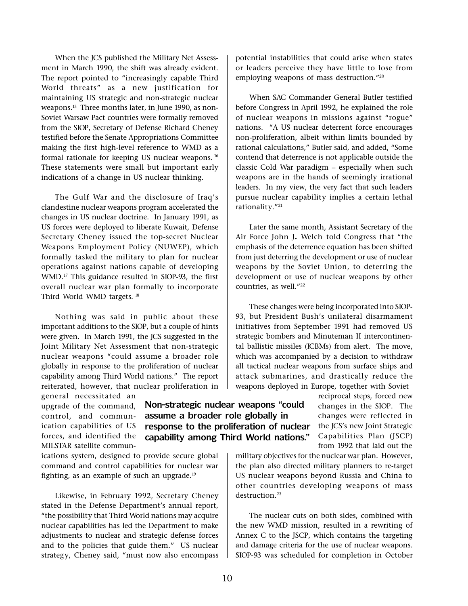When the JCS published the Military Net Assessment in March 1990, the shift was already evident. The report pointed to "increasingly capable Third World threats" as a new justification for maintaining US strategic and non-strategic nuclear weapons.15 Three months later, in June 1990, as non-Soviet Warsaw Pact countries were formally removed from the SIOP, Secretary of Defense Richard Cheney testified before the Senate Appropriations Committee making the first high-level reference to WMD as a formal rationale for keeping US nuclear weapons. 16 These statements were small but important early indications of a change in US nuclear thinking.

The Gulf War and the disclosure of Iraq's clandestine nuclear weapons program accelerated the changes in US nuclear doctrine. In January 1991, as US forces were deployed to liberate Kuwait, Defense Secretary Cheney issued the top-secret Nuclear Weapons Employment Policy (NUWEP), which formally tasked the military to plan for nuclear operations against nations capable of developing WMD.17 This guidance resulted in SIOP-93, the first overall nuclear war plan formally to incorporate Third World WMD targets. 18

Nothing was said in public about these important additions to the SIOP, but a couple of hints were given. In March 1991, the JCS suggested in the Joint Military Net Assessment that non-strategic nuclear weapons "could assume a broader role globally in response to the proliferation of nuclear capability among Third World nations." The report reiterated, however, that nuclear proliferation in

general necessitated an upgrade of the command, control, and communication capabilities of US forces, and identified the MILSTAR satellite commun-

ications system, designed to provide secure global command and control capabilities for nuclear war fighting, as an example of such an upgrade.<sup>19</sup>

Likewise, in February 1992, Secretary Cheney stated in the Defense Department's annual report, the possibility that Third World nations may acquire nuclear capabilities has led the Department to make adjustments to nuclear and strategic defense forces and to the policies that guide them." US nuclear strategy, Cheney said, "must now also encompass potential instabilities that could arise when states or leaders perceive they have little to lose from employing weapons of mass destruction."<sup>20</sup>

When SAC Commander General Butler testified before Congress in April 1992, he explained the role of nuclear weapons in missions against "rogue" nations. "A US nuclear deterrent force encourages non-proliferation, albeit within limits bounded by rational calculations," Butler said, and added, "Some contend that deterrence is not applicable outside the classic Cold War paradigm - especially when such weapons are in the hands of seemingly irrational leaders. In my view, the very fact that such leaders pursue nuclear capability implies a certain lethal rationality. $"^{21}$ 

Later the same month, Assistant Secretary of the Air Force John J. Welch told Congress that "the emphasis of the deterrence equation has been shifted from just deterring the development or use of nuclear weapons by the Soviet Union, to deterring the development or use of nuclear weapons by other countries, as well."<sup>22</sup>

These changes were being incorporated into SIOP-93, but President Bush's unilateral disarmament initiatives from September 1991 had removed US strategic bombers and Minuteman II intercontinental ballistic missiles (ICBMs) from alert. The move, which was accompanied by a decision to withdraw all tactical nuclear weapons from surface ships and attack submarines, and drastically reduce the weapons deployed in Europe, together with Soviet

> reciprocal steps, forced new changes in the SIOP. The changes were ref lected in the JCS's new Joint Strategic Capabilities Plan (JSCP) from 1992 that laid out the

military objectives for the nuclear war plan. However, the plan also directed military planners to re-target US nuclear weapons beyond Russia and China to other countries developing weapons of mass destruction.23

The nuclear cuts on both sides, combined with the new WMD mission, resulted in a rewriting of Annex C to the JSCP, which contains the targeting and damage criteria for the use of nuclear weapons. SIOP-93 was scheduled for completion in October

# Non-strategic nuclear weapons "could assume a broader role globally in response to the proliferation of nuclear capability among Third World nations.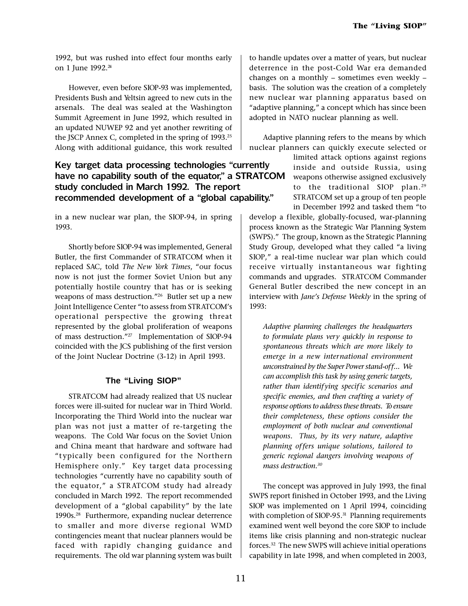1992, but was rushed into effect four months early on 1 June 1992.<sup>24</sup>

However, even before SIOP-93 was implemented, Presidents Bush and Yeltsin agreed to new cuts in the arsenals. The deal was sealed at the Washington Summit Agreement in June 1992, which resulted in an updated NUWEP 92 and yet another rewriting of the JSCP Annex C, completed in the spring of 1993.25 Along with additional guidance, this work resulted

# Key target data processing technologies "currently have no capability south of the equator," a STRATCOM study concluded in March 1992. The report recommended development of a "global capability."

in a new nuclear war plan, the SIOP-94, in spring 1993.

Shortly before SIOP-94 was implemented, General Butler, the first Commander of STRATCOM when it replaced SAC, told The New York Times, "our focus now is not just the former Soviet Union but any potentially hostile country that has or is seeking weapons of mass destruction."<sup>26</sup> Butler set up a new Joint Intelligence Center "to assess from STRATCOM's operational perspective the growing threat represented by the global proliferation of weapons of mass destruction."<sup>27</sup> Implementation of SIOP-94 coincided with the JCS publishing of the first version of the Joint Nuclear Doctrine (3-12) in April 1993.

### **The "Living SIOP"**

STRATCOM had already realized that US nuclear forces were ill-suited for nuclear war in Third World. Incorporating the Third World into the nuclear war plan was not just a matter of re-targeting the weapons. The Cold War focus on the Soviet Union and China meant that hardware and software had typically been configured for the Northern Hemisphere only." Key target data processing technologies "currently have no capability south of the equator," a STRATCOM study had already concluded in March 1992. The report recommended development of a "global capability" by the late 1990s.28 Furthermore, expanding nuclear deterrence to smaller and more diverse regional WMD contingencies meant that nuclear planners would be faced with rapidly changing guidance and requirements. The old war planning system was built to handle updates over a matter of years, but nuclear deterrence in the post-Cold War era demanded changes on a monthly  $-$  sometimes even weekly  $$ basis. The solution was the creation of a completely new nuclear war planning apparatus based on "adaptive planning," a concept which has since been adopted in NATO nuclear planning as well.

Adaptive planning refers to the means by which nuclear planners can quickly execute selected or

> limited attack options against regions inside and outside Russia, using weapons otherwise assigned exclusively to the traditional SIOP plan.<sup>29</sup> STRATCOM set up a group of ten people in December 1992 and tasked them "to

develop a flexible, globally-focused, war-planning process known as the Strategic War Planning System (SWPS)." The group, known as the Strategic Planning Study Group, developed what they called "a living SIOP," a real-time nuclear war plan which could receive virtually instantaneous war fighting commands and upgrades. STRATCOM Commander General Butler described the new concept in an interview with Jane's Defense Weekly in the spring of 1993:

Adaptive planning challenges the headquarters to formulate plans very quickly in response to spontaneous threats which are more likely to emerge in a new international environment unconstrained by the Super Power stand-off... We can accomplish this task by using generic targets, rather than identifying specific scenarios and specific enemies, and then crafting a variety of response options to address these threats. To ensure their completeness, these options consider the employment of both nuclear and conventional weapons. Thus, by its very nature, adaptive planning of fers unique solutions, tailored to generic regional dangers involving weapons of mass destruction.30

The concept was approved in July 1993, the final SWPS report finished in October 1993, and the Living SIOP was implemented on 1 April 1994, coinciding with completion of SIOP-95.<sup>31</sup> Planning requirements examined went well beyond the core SIOP to include items like crisis planning and non-strategic nuclear forces.32 The new SWPS will achieve initial operations capability in late 1998, and when completed in 2003,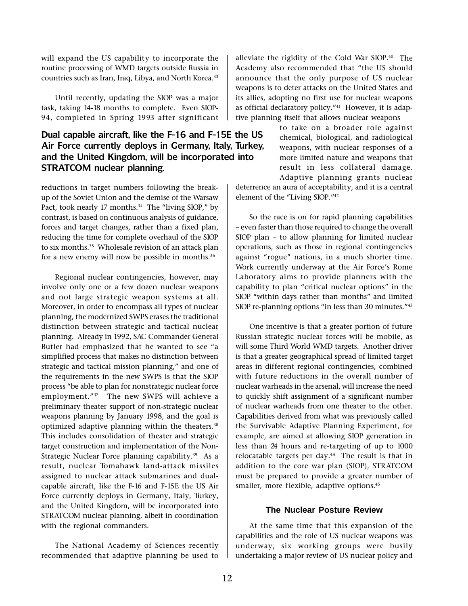will expand the US capability to incorporate the routine processing of WMD targets outside Russia in countries such as Iran, Iraq, Libya, and North Korea.<sup>33</sup>

Until recently, updating the SIOP was a major task, taking 14-18 months to complete. Even SIOP-94, completed in Spring 1993 after significant

# Dual capable aircraft, like the F-16 and F-15E the US Air Force currently deploys in Germany, Italy, Turkey, and the United Kingdom, will be incorporated into STRATCOM nuclear planning.

reductions in target numbers following the breakup of the Soviet Union and the demise of the Warsaw Pact, took nearly 17 months. $34$  The "living SIOP," by contrast, is based on continuous analysis of guidance, forces and target changes, rather than a fixed plan, reducing the time for complete overhaul of the SIOP to six months.<sup>35</sup> Wholesale revision of an attack plan for a new enemy will now be possible in months.<sup>36</sup>

Regional nuclear contingencies, however, may involve only one or a few dozen nuclear weapons and not large strategic weapon systems at all. Moreover, in order to encompass all types of nuclear planning, the modernized SWPS erases the traditional distinction between strategic and tactical nuclear planning. Already in 1992, SAC Commander General Butler had emphasized that he wanted to see "a simplified process that makes no distinction between strategic and tactical mission planning," and one of the requirements in the new SWPS is that the SIOP process "be able to plan for nonstrategic nuclear force employment."<sup>37</sup> The new SWPS will achieve a preliminary theater support of non-strategic nuclear weapons planning by January 1998, and the goal is optimized adaptive planning within the theaters.<sup>38</sup> This includes consolidation of theater and strategic target construction and implementation of the Non-Strategic Nuclear Force planning capability.<sup>39</sup> As a result, nuclear Tomahawk land-attack missiles assigned to nuclear attack submarines and dualcapable aircraft, like the F-16 and F-15E the US Air Force currently deploys in Germany, Italy, Turkey, and the United Kingdom, will be incorporated into STRATCOM nuclear planning, albeit in coordination with the regional commanders.

The National Academy of Sciences recently recommended that adaptive planning be used to alleviate the rigidity of the Cold War SIOP.40 The Academy also recommended that "the US should announce that the only purpose of US nuclear weapons is to deter attacks on the United States and its allies, adopting no first use for nuclear weapons as official declaratory policy."<sup>41</sup> However, it is adaptive planning itself that allows nuclear weapons

> to take on a broader role against chemical, biological, and radiological weapons, with nuclear responses of a more limited nature and weapons that result in less collateral damage. Adaptive planning grants nuclear

deterrence an aura of acceptability, and it is a central element of the "Living SIOP."<sup>42</sup>

So the race is on for rapid planning capabilities - even faster than those required to change the overall  $SIOP$  plan  $-$  to allow planning for limited nuclear operations, such as those in regional contingencies against "rogue" nations, in a much shorter time. Work currently underway at the Air Force's Rome Laboratory aims to provide planners with the capability to plan "critical nuclear options" in the SIOP "within days rather than months" and limited SIOP re-planning options "in less than 30 minutes." $43$ 

One incentive is that a greater portion of future Russian strategic nuclear forces will be mobile, as will some Third World WMD targets. Another driver is that a greater geographical spread of limited target areas in different regional contingencies, combined with future reductions in the overall number of nuclear warheads in the arsenal, will increase the need to quickly shift assignment of a significant number of nuclear warheads from one theater to the other. Capabilities derived from what was previously called the Survivable Adaptive Planning Experiment, for example, are aimed at allowing SIOP generation in less than 24 hours and re-targeting of up to 1000 relocatable targets per day. $44$  The result is that in addition to the core war plan (SIOP), STRATCOM must be prepared to provide a greater number of smaller, more flexible, adaptive options.<sup>45</sup>

#### **The Nuclear Posture Review**

At the same time that this expansion of the capabilities and the role of US nuclear weapons was underway, six working groups were busily undertaking a major review of US nuclear policy and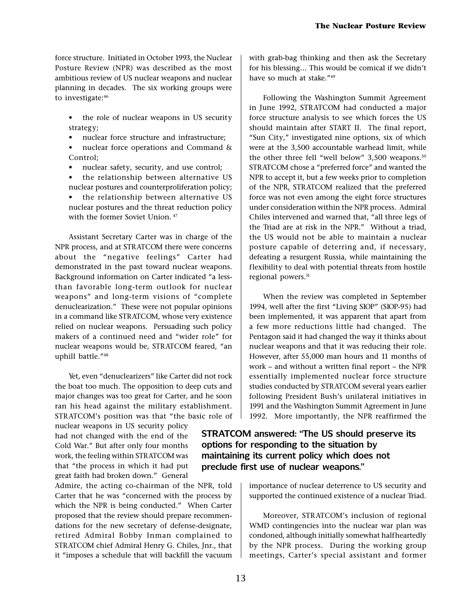force structure. Initiated in October 1993, the Nuclear Posture Review (NPR) was described as the most ambitious review of US nuclear weapons and nuclear planning in decades. The six working groups were to investigate:46

- the role of nuclear weapons in US security strategy;
- nuclear force structure and infrastructure;
- nuclear force operations and Command & Control;
- nuclear safety, security, and use control;
- the relationship between alternative US nuclear postures and counterproliferation policy;
- the relationship between alternative US nuclear postures and the threat reduction policy with the former Soviet Union.  $47$

Assistant Secretary Carter was in charge of the NPR process, and at STRATCOM there were concerns about the "negative feelings" Carter had demonstrated in the past toward nuclear weapons. Background information on Carter indicated "a lessthan favorable long-term outlook for nuclear weapons" and long-term visions of "complete" denuclearization." These were not popular opinions in a command like STRATCOM, whose very existence relied on nuclear weapons. Persuading such policy makers of a continued need and "wider role" for nuclear weapons would be, STRATCOM feared, "an uphill battle."<sup>48</sup>

Yet, even "denuclearizers" like Carter did not rock the boat too much. The opposition to deep cuts and major changes was too great for Carter, and he soon ran his head against the military establishment. STRATCOM's position was that "the basic role of

nuclear weapons in US security policy had not changed with the end of the Cold War." But after only four months work, the feeling within STRATCOM was that "the process in which it had put great faith had broken down." General

Admire, the acting co-chairman of the NPR, told Carter that he was "concerned with the process by which the NPR is being conducted." When Carter proposed that the review should prepare recommendations for the new secretary of defense-designate, retired Admiral Bobby Inman complained to STRATCOM chief Admiral Henry G. Chiles, Jnr., that it "imposes a schedule that will backfill the vacuum

with grab-bag thinking and then ask the Secretary for his blessing... This would be comical if we didn't have so much at stake."<sup>49</sup>

Following the Washington Summit Agreement in June 1992, STRATCOM had conducted a major force structure analysis to see which forces the US should maintain after START II. The final report, "Sun City," investigated nine options, six of which were at the 3,500 accountable warhead limit, while the other three fell "well below"  $3,500$  weapons.<sup>50</sup> STRATCOM chose a "preferred force" and wanted the NPR to accept it, but a few weeks prior to completion of the NPR, STRATCOM realized that the preferred force was not even among the eight force structures under consideration within the NPR process. Admiral Chiles intervened and warned that, "all three legs of the Triad are at risk in the NPR." Without a triad, the US would not be able to maintain a nuclear posture capable of deterring and, if necessary, defeating a resurgent Russia, while maintaining the flexibility to deal with potential threats from hostile regional powers.<sup>51</sup>

When the review was completed in September 1994, well after the first "Living SIOP" (SIOP-95) had been implemented, it was apparent that apart from a few more reductions little had changed. The Pentagon said it had changed the way it thinks about nuclear weapons and that it was reducing their role. However, after 55,000 man hours and 11 months of work  $-$  and without a written final report  $-$  the NPR essentially implemented nuclear force structure studies conducted by STRATCOM several years earlier following President Bush's unilateral initiatives in 1991 and the Washington Summit Agreement in June 1992. More importantly, the NPR reaffirmed the

# STRATCOM answered: "The US should preserve its options for responding to the situation by maintaining its current policy which does not preclude first use of nuclear weapons.

importance of nuclear deterrence to US security and supported the continued existence of a nuclear Triad.

Moreover, STRATCOM's inclusion of regional WMD contingencies into the nuclear war plan was condoned, although initially somewhat halfheartedly by the NPR process. During the working group meetings, Carter's special assistant and former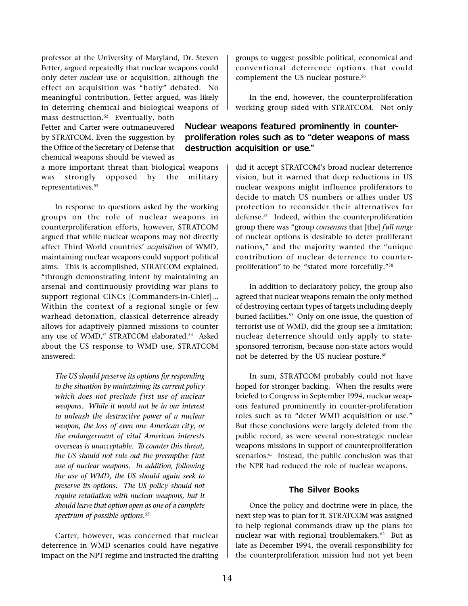professor at the University of Maryland, Dr. Steven Fetter, argued repeatedly that nuclear weapons could only deter nuclear use or acquisition, although the effect on acquisition was "hotly" debated. No meaningful contribution, Fetter argued, was likely in deterring chemical and biological weapons of

mass destruction.<sup>52</sup> Eventually, both Fetter and Carter were outmaneuvered by STRATCOM. Even the suggestion by the Office of the Secretary of Defense that chemical weapons should be viewed as

a more important threat than biological weapons was strongly opposed by the military representatives.<sup>53</sup>

In response to questions asked by the working groups on the role of nuclear weapons in counterproliferation efforts, however, STRATCOM argued that while nuclear weapons may not directly affect Third World countries' acquisition of WMD, maintaining nuclear weapons could support political aims. This is accomplished, STRATCOM explained, through demonstrating intent by maintaining an arsenal and continuously providing war plans to support regional CINCs [Commanders-in-Chief]... Within the context of a regional single or few warhead detonation, classical deterrence already allows for adaptively planned missions to counter any use of WMD," STRATCOM elaborated.<sup>54</sup> Asked about the US response to WMD use, STRATCOM answered:

The US should preserve its options for responding to the situation by maintaining its current policy which does not preclude first use of nuclear weapons. While it would not be in our interest to unleash the destructive power of a nuclear weapon, the loss of even one American city, or the endangerment of vital American interests overseas is unacceptable. To counter this threat, the US should not rule out the preemptive first use of nuclear weapons. In addition, following the use of WMD, the US should again seek to preserve its options. The US policy should not require retaliation with nuclear weapons, but it should leave that option open as one of a complete spectrum of possible options.<sup>55</sup>

Carter, however, was concerned that nuclear deterrence in WMD scenarios could have negative impact on the NPT regime and instructed the drafting groups to suggest possible political, economical and conventional deterrence options that could complement the US nuclear posture.<sup>56</sup>

In the end, however, the counterproliferation working group sided with STRATCOM. Not only

# Nuclear weapons featured prominently in counterproliferation roles such as to "deter weapons of mass destruction acquisition or use.

did it accept STRATCOM's broad nuclear deterrence vision, but it warned that deep reductions in US nuclear weapons might influence proliferators to decide to match US numbers or allies under US protection to reconsider their alternatives for defense.<sup>57</sup> Indeed, within the counterproliferation group there was "group consensus that [the] full range of nuclear options is desirable to deter proliferant nations," and the majority wanted the "unique contribution of nuclear deterrence to counterproliferation" to be "stated more forcefully."<sup>58</sup>

In addition to declaratory policy, the group also agreed that nuclear weapons remain the only method of destroying certain types of targets including deeply buried facilities.<sup>59</sup> Only on one issue, the question of terrorist use of WMD, did the group see a limitation: nuclear deterrence should only apply to statesponsored terrorism, because non-state actors would not be deterred by the US nuclear posture.<sup>60</sup>

In sum, STRATCOM probably could not have hoped for stronger backing. When the results were briefed to Congress in September 1994, nuclear weapons featured prominently in counter-proliferation roles such as to "deter WMD acquisition or use." But these conclusions were largely deleted from the public record, as were several non-strategic nuclear weapons missions in support of counterproliferation scenarios.<sup>61</sup> Instead, the public conclusion was that the NPR had reduced the role of nuclear weapons.

#### **The Silver Books**

Once the policy and doctrine were in place, the next step was to plan for it. STRATCOM was assigned to help regional commands draw up the plans for nuclear war with regional troublemakers.62 But as late as December 1994, the overall responsibility for the counterproliferation mission had not yet been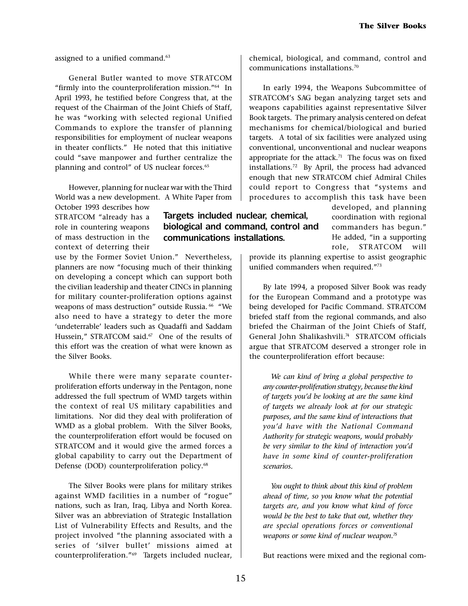assigned to a unified command.<sup>63</sup>

General Butler wanted to move STR ATCOM "firmly into the counterproliferation mission." $64$  In April 1993, he testified before Congress that, at the request of the Chairman of the Joint Chiefs of Staff, he was "working with selected regional Unified Commands to explore the transfer of planning responsibilities for employment of nuclear weapons in theater conflicts." He noted that this initiative could "save manpower and further centralize the planning and control" of US nuclear forces.<sup>65</sup>

However, planning for nuclear war with the Third World was a new development. A White Paper from

October 1993 describes how STRATCOM "already has a role in countering weapons of mass destruction in the context of deterring their

use by the Former Soviet Union." Nevertheless, planners are now "focusing much of their thinking on developing a concept which can support both the civilian leadership and theater CINCs in planning for military counter-proliferation options against weapons of mass destruction" outside Russia. <sup>66</sup> "We also need to have a strategy to deter the more 'undeterrable' leaders such as Quadaffi and Saddam Hussein," STRATCOM said.<sup>67</sup> One of the results of this effort was the creation of what were known as the Silver Books.

While there were many separate counterproliferation efforts underway in the Pentagon, none addressed the full spectrum of WMD targets within the context of real US military capabilities and limitations. Nor did they deal with proliferation of WMD as a global problem. With the Silver Books, the counterproliferation effort would be focused on STRATCOM and it would give the armed forces a global capability to carry out the Department of Defense (DOD) counterproliferation policy.<sup>68</sup>

The Silver Books were plans for military strikes against WMD facilities in a number of "rogue" nations, such as Iran, Iraq, Libya and North Korea. Silver was an abbreviation of Strategic Installation List of Vulnerability Effects and Results, and the project involved "the planning associated with a series of 'silver bullet' missions aimed at counterproliferation."<sup>69</sup> Targets included nuclear, chemical, biological, and command, control and communications installations.70

In early 1994, the Weapons Subcommittee of STRATCOM's SAG began analyzing target sets and weapons capabilities against representative Silver Book targets. The primary analysis centered on defeat mechanisms for chemical/biological and buried targets. A total of six facilities were analyzed using conventional, unconventional and nuclear weapons appropriate for the attack.<sup>71</sup> The focus was on fixed installations.72 By April, the process had advanced enough that new STRATCOM chief Admiral Chiles could report to Congress that "systems and procedures to accomplish this task have been

> developed, and planning coordination with regional commanders has begun. He added, "in a supporting role. STRATCOM will

provide its planning expertise to assist geographic unified commanders when required."73

By late 1994, a proposed Silver Book was ready for the European Command and a prototype was being developed for Pacific Command. STRATCOM briefed staff from the regional commands, and also briefed the Chairman of the Joint Chiefs of Staff, General John Shalikashvili.<sup>74</sup> STRATCOM officials argue that STRATCOM deserved a stronger role in the counterproliferation effort because:

We can kind of bring a global perspective to any counter-proliferation strategy, because the kind of targets you'd be looking at are the same kind of targets we already look at for our strategic purposes, and the same kind of interactions that you'd have with the National Command Authority for strategic weapons, would probably be very similar to the kind of interaction you'd have in some kind of counter-proliferation scenarios.

You ought to think about this kind of problem ahead of time, so you know what the potential targets are, and you know what kind of force would be the best to take that out, whether they are special operations forces or conventional weapons or some kind of nuclear weapon. $\frac{\pi}{2}$ 

But reactions were mixed and the regional com-

Targets included nuclear, chemical, biological and command, control and

communications installations.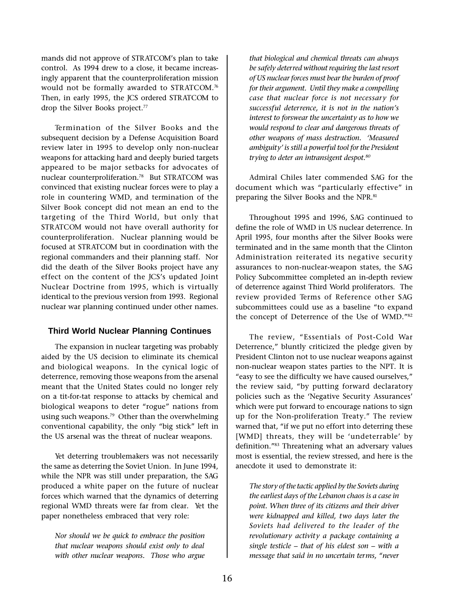mands did not approve of STRATCOM's plan to take control. As 1994 drew to a close, it became increasingly apparent that the counterproliferation mission would not be formally awarded to STRATCOM.<sup>76</sup> Then, in early 1995, the JCS ordered STRATCOM to drop the Silver Books project.<sup>77</sup>

Termination of the Silver Books and the subsequent decision by a Defense Acquisition Board review later in 1995 to develop only non-nuclear weapons for attacking hard and deeply buried targets appeared to be major setbacks for advocates of nuclear counterproliferation.78 But STRATCOM was convinced that existing nuclear forces were to play a role in countering WMD, and termination of the Silver Book concept did not mean an end to the targeting of the Third World, but only that STRATCOM would not have overall authority for counterproliferation. Nuclear planning would be focused at STRATCOM but in coordination with the regional commanders and their planning staff. Nor did the death of the Silver Books project have any effect on the content of the JCS's updated Joint Nuclear Doctrine from 1995, which is virtually identical to the previous version from 1993. Regional nuclear war planning continued under other names.

#### **Third World Nuclear Planning Continues**

The expansion in nuclear targeting was probably aided by the US decision to eliminate its chemical and biological weapons. In the cynical logic of deterrence, removing those weapons from the arsenal meant that the United States could no longer rely on a tit-for-tat response to attacks by chemical and biological weapons to deter "rogue" nations from using such weapons.<sup>79</sup> Other than the overwhelming conventional capability, the only "big stick" left in the US arsenal was the threat of nuclear weapons.

Yet deterring troublemakers was not necessarily the same as deterring the Soviet Union. In June 1994, while the NPR was still under preparation, the SAG produced a white paper on the future of nuclear forces which warned that the dynamics of deterring regional WMD threats were far from clear. Yet the paper nonetheless embraced that very role:

Nor should we be quick to embrace the position that nuclear weapons should exist only to deal with other nuclear weapons. Those who argue that biological and chemical threats can always be safely deter red without requiring the last resort of US nuclear forces must bear the burden of proof for their argument. Until they make a compelling case that nuclear force is not necessary for successful deterrence, it is not in the nation's interest to forswear the uncertainty as to how we would respond to clear and dangerous threats of other weapons of mass destruction. Measured ambiguity' is still a powerful tool for the President trying to deter an intransigent despot.<sup>80</sup>

Admiral Chiles later commended SAG for the document which was "particularly effective" in preparing the Silver Books and the NPR.<sup>81</sup>

Throughout 1995 and 1996, SAG continued to define the role of WMD in US nuclear deterrence. In April 1995, four months after the Silver Books were terminated and in the same month that the Clinton Administration reiterated its negative security assurances to non-nuclear-weapon states, the SAG Policy Subcommittee completed an in-depth review of deterrence against Third World proliferators. The review provided Terms of Reference other SAG subcommittees could use as a baseline "to expand the concept of Deterrence of the Use of WMD."82

The review, "Essentials of Post-Cold War Deterrence," bluntly criticized the pledge given by President Clinton not to use nuclear weapons against non-nuclear weapon states parties to the NPT. It is "easy to see the difficulty we have caused ourselves," the review said, "by putting forward declaratory policies such as the 'Negative Security Assurances' which were put forward to encourage nations to sign up for the Non-proliferation Treaty." The review warned that, "if we put no effort into deterring these [WMD] threats, they will be 'undeterrable' by definition."83 Threatening what an adversary values most is essential, the review stressed, and here is the anecdote it used to demonstrate it:

The story of the tactic applied by the Soviets during the earliest days of the Lebanon chaos is a case in point. When three of its citizens and their driver were kidnapped and killed, two days later the Soviets had delivered to the leader of the revolutionary activity a package containing a single testicle  $-$  that of his eldest son  $-$  with a message that said in no uncertain terms, "never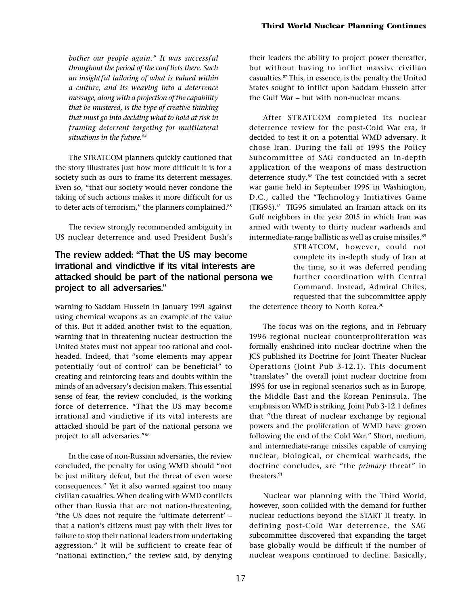bother our people again." It was successful throughout the period of the conf licts there. Such an insight ful tailoring of what is valued within a culture, and its weaving into a deterrence message, along with a projection of the capability that be mustered, is the type of creative thinking that must go into deciding what to hold at risk in framing deterrent targeting for multilateral situations in the future.<sup>84</sup>

The STRATCOM planners quickly cautioned that the story illustrates just how more difficult it is for a society such as ours to frame its deterrent messages. Even so, "that our society would never condone the taking of such actions makes it more difficult for us to deter acts of terrorism," the planners complained.<sup>85</sup>

The review strongly recommended ambiguity in US nuclear deterrence and used President Bush's

# The review added: "That the US may become" irrational and vindictive if its vital interests are attacked should be part of the national persona we project to all adversaries.

warning to Saddam Hussein in January 1991 against using chemical weapons as an example of the value of this. But it added another twist to the equation, warning that in threatening nuclear destruction the United States must not appear too rational and coolheaded. Indeed, that "some elements may appear potentially 'out of control' can be beneficial" to creating and reinforcing fears and doubts within the minds of an adversary's decision makers. This essential sense of fear, the review concluded, is the working force of deterrence. "That the US may become irrational and vindictive if its vital interests are attacked should be part of the national persona we project to all adversaries."86

In the case of non-Russian adversaries, the review concluded, the penalty for using WMD should "not be just military defeat, but the threat of even worse consequences." Yet it also warned against too many civilian casualties. When dealing with WMD conflicts other than Russia that are not nation-threatening, "the US does not require the 'ultimate deterrent'  $$ that a nation's citizens must pay with their lives for failure to stop their national leaders from undertaking aggression." It will be sufficient to create fear of "national extinction," the review said, by denying

their leaders the ability to project power thereafter, but without having to inflict massive civilian casualties.87 This, in essence, is the penalty the United States sought to inflict upon Saddam Hussein after the Gulf War  $-$  but with non-nuclear means.

After STRATCOM completed its nuclear deterrence review for the post-Cold War era, it decided to test it on a potential WMD adversary. It chose Iran. During the fall of 1995 the Policy Subcommittee of SAG conducted an in-depth application of the weapons of mass destruction deterrence study.<sup>88</sup> The test coincided with a secret war game held in September 1995 in Washington, D.C., called the "Technology Initiatives Game (TIG95). TIG95 simulated an Iranian attack on its Gulf neighbors in the year 2015 in which Iran was armed with twenty to thirty nuclear warheads and intermediate-range ballistic as well as cruise missiles.<sup>89</sup>

> STRATCOM, however, could not complete its in-depth study of Iran at the time, so it was deferred pending further coordination with Central Command. Instead, Admiral Chiles, requested that the subcommittee apply

the deterrence theory to North Korea.<sup>90</sup>

The focus was on the regions, and in February 1996 regional nuclear counterproliferation was formally enshrined into nuclear doctrine when the JCS published its Doctrine for Joint Theater Nuclear Operations (Joint Pub 3-12.1). This document "translates" the overall joint nuclear doctrine from 1995 for use in regional scenarios such as in Europe, the Middle East and the Korean Peninsula. The emphasis on WMD is striking. Joint Pub 3-12.1 defines that "the threat of nuclear exchange by regional powers and the proliferation of WMD have grown following the end of the Cold War." Short, medium, and intermediate-range missiles capable of carrying nuclear, biological, or chemical warheads, the doctrine concludes, are "the primary threat" in theaters.<sup>91</sup>

Nuclear war planning with the Third World, however, soon collided with the demand for further nuclear reductions beyond the START II treaty. In defining post-Cold War deterrence, the SAG subcommittee discovered that expanding the target base globally would be difficult if the number of nuclear weapons continued to decline. Basically,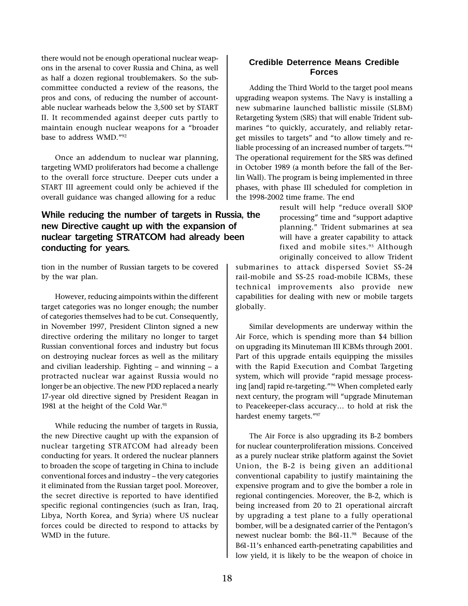there would not be enough operational nuclear weapons in the arsenal to cover Russia and China, as well as half a dozen regional troublemakers. So the subcommittee conducted a review of the reasons, the pros and cons, of reducing the number of accountable nuclear warheads below the 3,500 set by START II. It recommended against deeper cuts partly to maintain enough nuclear weapons for a "broader base to address WMD."92

Once an addendum to nuclear war planning, targeting WMD proliferators had become a challenge to the overall force structure. Deeper cuts under a START III agreement could only be achieved if the overall guidance was changed allowing for a reduc

# While reducing the number of targets in Russia, the new Directive caught up with the expansion of nuclear targeting STRATCOM had already been conducting for years.

tion in the number of Russian targets to be covered by the war plan.

However, reducing aimpoints within the different target categories was no longer enough; the number of categories themselves had to be cut. Consequently, in November 1997, President Clinton signed a new directive ordering the military no longer to target Russian conventional forces and industry but focus on destroying nuclear forces as well as the military and civilian leadership. Fighting  $-$  and winning  $-$  a protracted nuclear war against Russia would no longer be an objective. The new PDD replaced a nearly 17-year old directive signed by President Reagan in 1981 at the height of the Cold War.<sup>93</sup>

While reducing the number of targets in Russia, the new Directive caught up with the expansion of nuclear targeting STR ATCOM had already been conducting for years. It ordered the nuclear planners to broaden the scope of targeting in China to include conventional forces and industry - the very categories it eliminated from the Russian target pool. Moreover, the secret directive is reported to have identified specific regional contingencies (such as Iran, Iraq, Libya, North Korea, and Syria) where US nuclear forces could be directed to respond to attacks by WMD in the future.

# **Credible Deterrence Means Credible Forces**

Adding the Third World to the target pool means upgrading weapon systems. The Navy is installing a new submarine launched ballistic missile (SLBM) Retargeting System (SRS) that will enable Trident submarines "to quickly, accurately, and reliably retarget missiles to targets" and "to allow timely and reliable processing of an increased number of targets."94 The operational requirement for the SRS was defined in October 1989 (a month before the fall of the Berlin Wall). The program is being implemented in three phases, with phase III scheduled for completion in the 1998-2002 time frame. The end

> result will help "reduce overall SIOP processing" time and "support adaptive planning." Trident submarines at sea will have a greater capability to attack fixed and mobile sites.<sup>95</sup> Although originally conceived to allow Trident

submarines to attack dispersed Soviet SS-24 rail-mobile and SS-25 road-mobile ICBMs, these technical improvements also provide new capabilities for dealing with new or mobile targets globally.

Similar developments are underway within the Air Force, which is spending more than \$4 billion on upgrading its Minuteman III ICBMs through 2001. Part of this upgrade entails equipping the missiles with the Rapid Execution and Combat Targeting system, which will provide "rapid message processing [and] rapid re-targeting."<sup>96</sup> When completed early next century, the program will "upgrade Minuteman to Peacekeeper-class accuracy... to hold at risk the hardest enemy targets."97

The Air Force is also upgrading its B-2 bombers for nuclear counterproliferation missions. Conceived as a purely nuclear strike platform against the Soviet Union, the B-2 is being given an additional conventional capability to justify maintaining the expensive program and to give the bomber a role in regional contingencies. Moreover, the B-2, which is being increased from 20 to 21 operational aircraft by upgrading a test plane to a fully operational bomber, will be a designated carrier of the Pentagon's newest nuclear bomb: the B61-11.98 Because of the B61-11's enhanced earth-penetrating capabilities and low yield, it is likely to be the weapon of choice in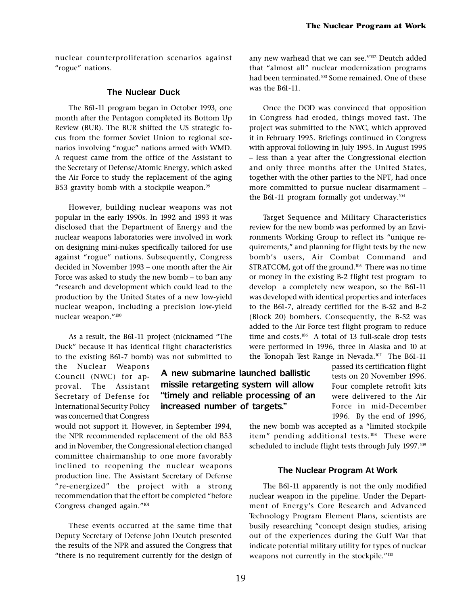nuclear counterproliferation scenarios against "rogue" nations.

#### **The Nuclear Duck**

The B61-11 program began in October 1993, one month after the Pentagon completed its Bottom Up Review (BUR). The BUR shifted the US strategic focus from the former Soviet Union to regional scenarios involving "rogue" nations armed with WMD. A request came from the office of the Assistant to the Secretary of Defense/Atomic Energy, which asked the Air Force to study the replacement of the aging B53 gravity bomb with a stockpile weapon.<sup>99</sup>

However, building nuclear weapons was not popular in the early 1990s. In 1992 and 1993 it was disclosed that the Department of Energy and the nuclear weapons laboratories were involved in work on designing mini-nukes specifically tailored for use against "rogue" nations. Subsequently, Congress decided in November 1993 - one month after the Air Force was asked to study the new bomb  $-$  to ban any research and development which could lead to the production by the United States of a new low-yield nuclear weapon, including a precision low-yield nuclear weapon."<sup>100</sup>

As a result, the B61-11 project (nicknamed "The Duck" because it has identical flight characteristics to the existing B61-7 bomb) was not submitted to

the Nuclear Weapons Council (NWC) for approval. The Assistant Secretary of Defense for International Security Policy was concerned that Congress

would not support it. However, in September 1994, the NPR recommended replacement of the old B53 and in November, the Congressional election changed committee chairmanship to one more favorably inclined to reopening the nuclear weapons production line. The Assistant Secretary of Defense "re-energized" the project with a strong recommendation that the effort be completed "before Congress changed again. $101$ 

These events occurred at the same time that Deputy Secretary of Defense John Deutch presented the results of the NPR and assured the Congress that there is no requirement currently for the design of any new warhead that we can see."<sup>102</sup> Deutch added that "almost all" nuclear modernization programs had been terminated.<sup>103</sup> Some remained. One of these was the B61-11.

Once the DOD was convinced that opposition in Congress had eroded, things moved fast. The project was submitted to the NWC, which approved it in February 1995. Briefings continued in Congress with approval following in July 1995. In August 1995 - less than a year after the Congressional election and only three months after the United States, together with the other parties to the NPT, had once more committed to pursue nuclear disarmament the B61-11 program formally got underway. $104$ 

Target Sequence and Military Characteristics review for the new bomb was performed by an Environments Working Group to reflect its "unique requirements," and planning for flight tests by the new bomb's users, Air Combat Command and STRATCOM, got off the ground.<sup>105</sup> There was no time or money in the existing B-2 flight test program to develop a completely new weapon, so the B61-11 was developed with identical properties and interfaces to the B61-7, already certified for the B-52 and B-2 (Block 20) bombers. Consequently, the B-52 was added to the Air Force test flight program to reduce time and costs.<sup>106</sup> A total of 13 full-scale drop tests were performed in 1996, three in Alaska and 10 at the Tonopah Test Range in Nevada.<sup>107</sup> The B61-11

> passed its certification flight tests on 20 November 1996. Four complete retrofit kits were delivered to the Air Force in mid-December 1996. By the end of 1996,

the new bomb was accepted as a "limited stockpile item" pending additional tests.<sup>108</sup> These were scheduled to include flight tests through July 1997.<sup>109</sup>

# **The Nuclear Program At Work**

The B61-11 apparently is not the only modified nuclear weapon in the pipeline. Under the Department of Energy's Core Research and Advanced Technology Program Element Plans, scientists are busily researching "concept design studies, arising out of the experiences during the Gulf War that indicate potential military utility for types of nuclear weapons not currently in the stockpile."<sup>110</sup>

A new submarine launched ballistic missile retargeting system will allow timely and reliable processing of an

increased number of targets.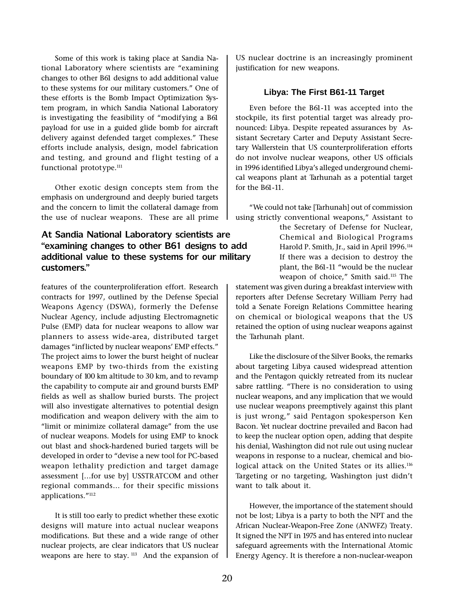Some of this work is taking place at Sandia National Laboratory where scientists are "examining changes to other B61 designs to add additional value to these systems for our military customers." One of these efforts is the Bomb Impact Optimization System program, in which Sandia National Laboratory is investigating the feasibility of "modifying a B61 payload for use in a guided glide bomb for aircraft delivery against defended target complexes." These efforts include analysis, design, model fabrication and testing, and ground and flight testing of a functional prototype.<sup>111</sup>

Other exotic design concepts stem from the emphasis on underground and deeply buried targets and the concern to limit the collateral damage from the use of nuclear weapons. These are all prime

# At Sandia National Laboratory scientists are examining changes to other B61 designs to add additional value to these systems for our military customers.

features of the counterproliferation effort. Research contracts for 1997, outlined by the Defense Special Weapons Agency (DSWA), formerly the Defense Nuclear Agency, include adjusting Electromagnetic Pulse (EMP) data for nuclear weapons to allow war planners to assess wide-area, distributed target damages "inflicted by nuclear weapons' EMP effects." The project aims to lower the burst height of nuclear weapons EMP by two-thirds from the existing boundary of 100 km altitude to 30 km, and to revamp the capability to compute air and ground bursts EMP fields as well as shallow buried bursts. The project will also investigate alternatives to potential design modification and weapon delivery with the aim to "limit or minimize collateral damage" from the use of nuclear weapons. Models for using EMP to knock out blast and shock-hardened buried targets will be developed in order to "devise a new tool for PC-based weapon lethality prediction and target damage assessment [...for use by] USSTRATCOM and other regional commands... for their specific missions applications."<sup>112</sup>

It is still too early to predict whether these exotic designs will mature into actual nuclear weapons modifications. But these and a wide range of other nuclear projects, are clear indicators that US nuclear weapons are here to stay.<sup>113</sup> And the expansion of US nuclear doctrine is an increasingly prominent justification for new weapons.

## **Libya: The First B61-11 Target**

Even before the B61-11 was accepted into the stockpile, its first potential target was already pronounced: Libya. Despite repeated assurances by Assistant Secretary Carter and Deputy Assistant Secretary Wallerstein that US counterproliferation efforts do not involve nuclear weapons, other US officials in 1996 identified Libya's alleged underground chemical weapons plant at Tarhunah as a potential target for the B61-11.

We could not take [Tarhunah] out of commission using strictly conventional weapons," Assistant to

> the Secretary of Defense for Nuclear, Chemical and Biological Programs Harold P. Smith, Jr., said in April 1996.<sup>114</sup> If there was a decision to destroy the plant, the B61-11 "would be the nuclear weapon of choice," Smith said.<sup>115</sup> The

statement was given during a breakfast interview with reporters after Defense Secretary William Perry had told a Senate Foreign Relations Committee hearing on chemical or biological weapons that the US retained the option of using nuclear weapons against the Tarhunah plant.

Like the disclosure of the Silver Books, the remarks about targeting Libya caused widespread attention and the Pentagon quickly retreated from its nuclear sabre rattling. "There is no consideration to using nuclear weapons, and any implication that we would use nuclear weapons preemptively against this plant is just wrong," said Pentagon spokesperson Ken Bacon. Yet nuclear doctrine prevailed and Bacon had to keep the nuclear option open, adding that despite his denial, Washington did not rule out using nuclear weapons in response to a nuclear, chemical and biological attack on the United States or its allies.<sup>116</sup> Targeting or no targeting, Washington just didn't want to talk about it.

However, the importance of the statement should not be lost; Libya is a party to both the NPT and the African Nuclear-Weapon-Free Zone (ANWFZ) Treaty. It signed the NPT in 1975 and has entered into nuclear safeguard agreements with the International Atomic Energy Agency. It is therefore a non-nuclear-weapon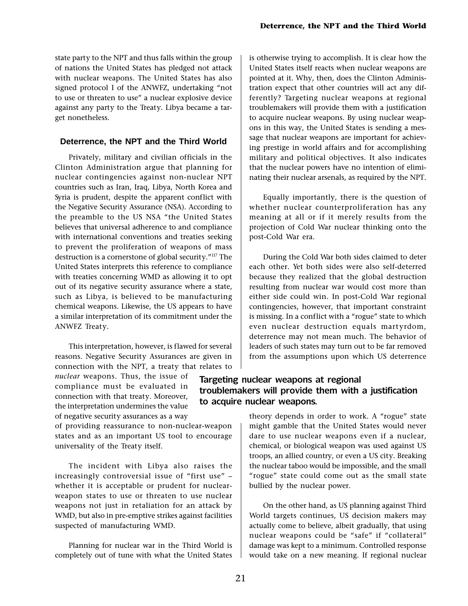state party to the NPT and thus falls within the group of nations the United States has pledged not attack with nuclear weapons. The United States has also signed protocol I of the ANWFZ, undertaking "not to use or threaten to use" a nuclear explosive device against any party to the Treaty. Libya became a target nonetheless.

#### **Deterrence, the NPT and the Third World**

Privately, military and civilian officials in the Clinton Administration argue that planning for nuclear contingencies against non-nuclear NPT countries such as Iran, Iraq, Libya, North Korea and Syria is prudent, despite the apparent conflict with the Negative Security Assurance (NSA). According to the preamble to the US NSA "the United States believes that universal adherence to and compliance with international conventions and treaties seeking to prevent the proliferation of weapons of mass destruction is a cornerstone of global security."<sup>117</sup> The United States interprets this reference to compliance with treaties concerning WMD as allowing it to opt out of its negative security assurance where a state, such as Libya, is believed to be manufacturing chemical weapons. Likewise, the US appears to have a similar interpretation of its commitment under the ANWFZ Treaty.

This interpretation, however, is flawed for several reasons. Negative Security Assurances are given in connection with the NPT, a treaty that relates to

nuclear weapons. Thus, the issue of compliance must be evaluated in connection with that treaty. Moreover, the interpretation undermines the value of negative security assurances as a way

of providing reassurance to non-nuclear-weapon states and as an important US tool to encourage universality of the Treaty itself.

The incident with Libya also raises the increasingly controversial issue of "first use" whether it is acceptable or prudent for nuclearweapon states to use or threaten to use nuclear weapons not just in retaliation for an attack by WMD, but also in pre-emptive strikes against facilities suspected of manufacturing WMD.

Planning for nuclear war in the Third World is completely out of tune with what the United States is otherwise trying to accomplish. It is clear how the United States itself reacts when nuclear weapons are pointed at it. Why, then, does the Clinton Administration expect that other countries will act any differently? Targeting nuclear weapons at regional troublemakers will provide them with a justification to acquire nuclear weapons. By using nuclear weapons in this way, the United States is sending a message that nuclear weapons are important for achieving prestige in world affairs and for accomplishing military and political objectives. It also indicates that the nuclear powers have no intention of eliminating their nuclear arsenals, as required by the NPT.

Equally importantly, there is the question of whether nuclear counterproliferation has any meaning at all or if it merely results from the projection of Cold War nuclear thinking onto the post-Cold War era.

During the Cold War both sides claimed to deter each other. Yet both sides were also self-deterred because they realized that the global destruction resulting from nuclear war would cost more than either side could win. In post-Cold War regional contingencies, however, that important constraint is missing. In a conflict with a "rogue" state to which even nuclear destruction equals martyrdom, deterrence may not mean much. The behavior of leaders of such states may turn out to be far removed from the assumptions upon which US deterrence

# Targeting nuclear weapons at regional troublemakers will provide them with a justification to acquire nuclear weapons.

theory depends in order to work. A "rogue" state might gamble that the United States would never dare to use nuclear weapons even if a nuclear, chemical, or biological weapon was used against US troops, an allied country, or even a US city. Breaking the nuclear taboo would be impossible, and the small "rogue" state could come out as the small state bullied by the nuclear power.

On the other hand, as US planning against Third World targets continues, US decision makers may actually come to believe, albeit gradually, that using nuclear weapons could be "safe" if "collateral" damage was kept to a minimum. Controlled response would take on a new meaning. If regional nuclear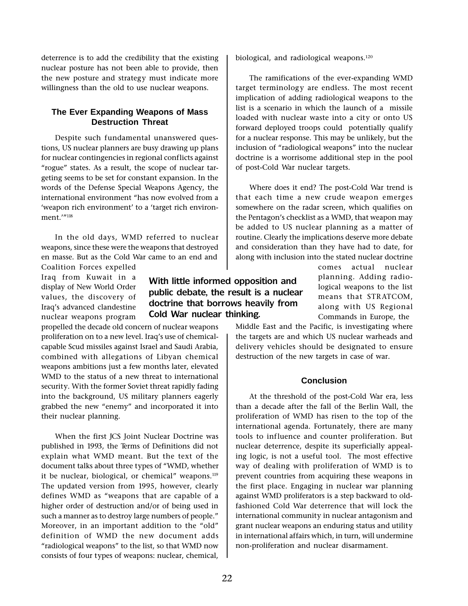deterrence is to add the credibility that the existing nuclear posture has not been able to provide, then the new posture and strategy must indicate more willingness than the old to use nuclear weapons.

#### **The Ever Expanding Weapons of Mass Destruction Threat**

Despite such fundamental unanswered questions, US nuclear planners are busy drawing up plans for nuclear contingencies in regional conflicts against "rogue" states. As a result, the scope of nuclear targeting seems to be set for constant expansion. In the words of the Defense Special Weapons Agency, the international environment "has now evolved from a 'weapon rich environment' to a 'target rich environment $1''$ <sup>18</sup>

In the old days, WMD referred to nuclear weapons, since these were the weapons that destroyed en masse. But as the Cold War came to an end and

Coalition Forces expelled Iraq from Kuwait in a display of New World Order values, the discovery of Iraq's advanced clandestine nuclear weapons program

propelled the decade old concern of nuclear weapons proliferation on to a new level. Iraq's use of chemicalcapable Scud missiles against Israel and Saudi Arabia, combined with allegations of Libyan chemical weapons ambitions just a few months later, elevated WMD to the status of a new threat to international security. With the former Soviet threat rapidly fading into the background, US military planners eagerly grabbed the new "enemy" and incorporated it into their nuclear planning.

When the first JCS Joint Nuclear Doctrine was published in 1993, the Terms of Definitions did not explain what WMD meant. But the text of the document talks about three types of "WMD, whether it be nuclear, biological, or chemical" weapons.<sup>119</sup> The updated version from 1995, however, clearly defines WMD as "weapons that are capable of a higher order of destruction and/or of being used in such a manner as to destroy large numbers of people." Moreover, in an important addition to the "old" definition of WMD the new document adds "radiological weapons" to the list, so that WMD now consists of four types of weapons: nuclear, chemical,

The ramifications of the ever-expanding WMD

biological, and radiological weapons.<sup>120</sup>

target terminology are endless. The most recent implication of adding radiological weapons to the list is a scenario in which the launch of a missile loaded with nuclear waste into a city or onto US forward deployed troops could potentially qualify for a nuclear response. This may be unlikely, but the inclusion of "radiological weapons" into the nuclear doctrine is a worrisome additional step in the pool of post-Cold War nuclear targets.

Where does it end? The post-Cold War trend is that each time a new crude weapon emerges somewhere on the radar screen, which qualifies on the Pentagon's checklist as a WMD, that weapon may be added to US nuclear planning as a matter of routine. Clearly the implications deserve more debate and consideration than they have had to date, for along with inclusion into the stated nuclear doctrine

> comes actual nuclear planning. Adding radiological weapons to the list means that STRATCOM, along with US Regional Commands in Europe, the

Middle East and the Pacific, is investigating where the targets are and which US nuclear warheads and delivery vehicles should be designated to ensure destruction of the new targets in case of war.

#### **Conclusion**

At the threshold of the post-Cold War era, less than a decade after the fall of the Berlin Wall, the proliferation of WMD has risen to the top of the international agenda. Fortunately, there are many tools to influence and counter proliferation. But nuclear deterrence, despite its superficially appealing logic, is not a useful tool. The most effective way of dealing with proliferation of WMD is to prevent countries from acquiring these weapons in the first place. Engaging in nuclear war planning against WMD proliferators is a step backward to oldfashioned Cold War deterrence that will lock the international community in nuclear antagonism and grant nuclear weapons an enduring status and utility in international affairs which, in turn, will undermine non-proliferation and nuclear disarmament.

With little informed opposition and public debate, the result is a nuclear doctrine that borrows heavily from

Cold War nuclear thinking.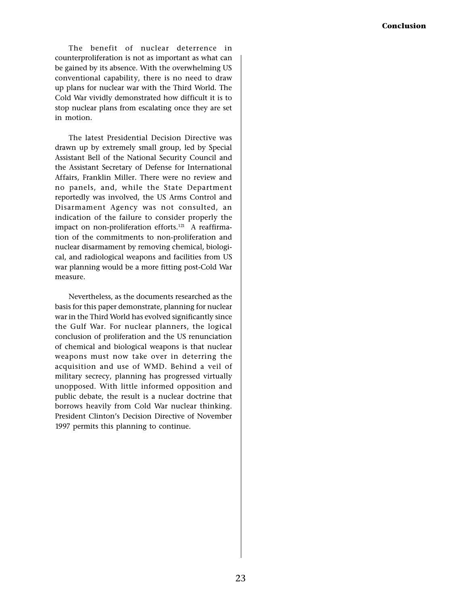The benefit of nuclear deterrence in counterproliferation is not as important as what can be gained by its absence. With the overwhelming US conventional capability, there is no need to draw up plans for nuclear war with the Third World. The Cold War vividly demonstrated how difficult it is to stop nuclear plans from escalating once they are set in motion.

The latest Presidential Decision Directive was drawn up by extremely small group, led by Special Assistant Bell of the National Security Council and the Assistant Secretary of Defense for International Affairs, Franklin Miller. There were no review and no panels, and, while the State Department reportedly was involved, the US Arms Control and Disarmament Agency was not consulted, an indication of the failure to consider properly the impact on non-proliferation efforts.<sup>121</sup> A reaffirmation of the commitments to non-proliferation and nuclear disarmament by removing chemical, biological, and radiological weapons and facilities from US war planning would be a more fitting post-Cold War measure.

Nevertheless, as the documents researched as the basis for this paper demonstrate, planning for nuclear war in the Third World has evolved significantly since the Gulf War. For nuclear planners, the logical conclusion of proliferation and the US renunciation of chemical and biological weapons is that nuclear weapons must now take over in deterring the acquisition and use of WMD. Behind a veil of military secrecy, planning has progressed virtually unopposed. With little informed opposition and public debate, the result is a nuclear doctrine that borrows heavily from Cold War nuclear thinking. President Clinton's Decision Directive of November 1997 permits this planning to continue.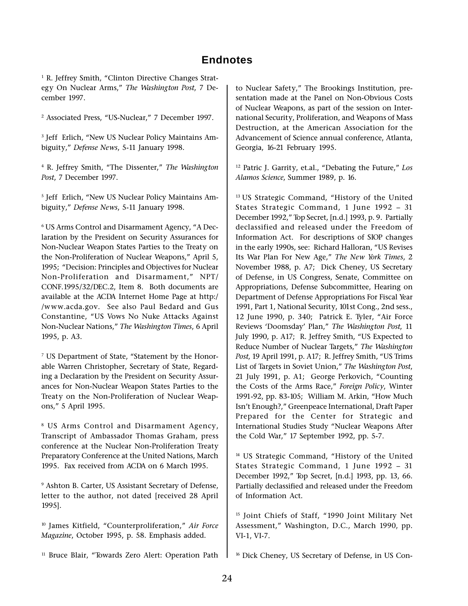# **Endnotes**

<sup>1</sup> R. Jeffrey Smith, "Clinton Directive Changes Strategy On Nuclear Arms," The Washington Post, 7 December 1997.

<sup>2</sup> Associated Press, "US-Nuclear," 7 December 1997.

<sup>3</sup> Jeff Erlich, "New US Nuclear Policy Maintains Ambiguity," Defense News, 5-11 January 1998.

<sup>4</sup> R. Jeffrey Smith, "The Dissenter," The Washing ton Post, 7 December 1997.

<sup>5</sup> Jeff Erlich, "New US Nuclear Policy Maintains Ambiguity," Defense News, 5-11 January 1998.

 $\rm ^6$  US Arms Control and Disarmament Agency, "A Declaration by the President on Security Assurances for Non-Nuclear Weapon States Parties to the Treaty on the Non-Proliferation of Nuclear Weapons," April 5, 1995; "Decision: Principles and Objectives for Nuclear Non-Proliferation and Disarmament." NPT/ CONF.1995/32/DEC.2, Item 8. Both documents are available at the ACDA Internet Home Page at http:/ /www.acda.gov. See also Paul Bedard and Gus Constantine, "US Vows No Nuke Attacks Against Non-Nuclear Nations," The Washington Times, 6 April 1995, p. A3.

<sup>7</sup> US Department of State, "Statement by the Honorable Warren Christopher, Secretary of State, Regarding a Declaration by the President on Security Assurances for Non-Nuclear Weapon States Parties to the Treaty on the Non-Proliferation of Nuclear Weapons," 5 April 1995.

8 US Arms Control and Disarmament Agency, Transcript of Ambassador Thomas Graham, press conference at the Nuclear Non-Proliferation Treaty Preparatory Conference at the United Nations, March 1995. Fax received from ACDA on 6 March 1995.

9 Ashton B. Carter, US Assistant Secretary of Defense, letter to the author, not dated [received 28 April 1995].

<sup>10</sup> James Kitfield, "Counterproliferation," Air Force Magazine, October 1995, p. 58. Emphasis added.

<sup>11</sup> Bruce Blair, "Towards Zero Alert: Operation Path

to Nuclear Safety," The Brookings Institution, presentation made at the Panel on Non-Obvious Costs of Nuclear Weapons, as part of the session on International Security, Proliferation, and Weapons of Mass Destruction, at the American Association for the Advancement of Science annual conference, Atlanta, Georgia, 16-21 February 1995.

 $12$  Patric J. Garrity, et.al., "Debating the Future," Los Alamos Science, Summer 1989, p. 16.

<sup>13</sup> US Strategic Command, "History of the United States Strategic Command, 1 June 1992 - 31 December 1992," Top Secret, [n.d.] 1993, p. 9. Partially declassified and released under the Freedom of Information Act. For descriptions of SIOP changes in the early 1990s, see: Richard Halloran, "US Revises Its War Plan For New Age," The New York Times, 2 November 1988, p. A7; Dick Cheney, US Secretary of Defense, in US Congress, Senate, Committee on Appropriations, Defense Subcommittee, Hearing on Department of Defense Appropriations For Fiscal Year 1991, Part 1, National Security, 101st Cong., 2nd sess., 12 June 1990, p. 340; Patrick E. Tyler, "Air Force Reviews 'Doomsday' Plan," The Washington Post, 11 July 1990, p. A17; R. Jeffrey Smith, "US Expected to Reduce Number of Nuclear Targets," The Washington Post, 19 April 1991, p. A17; R. Jeffrey Smith, "US Trims List of Targets in Soviet Union," The Washington Post, 21 July 1991, p. A1; George Perkovich, "Counting the Costs of the Arms Race," Foreign Policy, Winter 1991-92, pp. 83-105; William M. Arkin, "How Much Isn't Enough?," Greenpeace International, Draft Paper Prepared for the Center for Strategic and International Studies Study "Nuclear Weapons After the Cold War," 17 September 1992, pp. 5-7.

<sup>14</sup> US Strategic Command, "History of the United States Strategic Command, 1 June 1992 - 31 December 1992," Top Secret, [n.d.] 1993, pp. 13, 66. Partially declassified and released under the Freedom of Information Act.

<sup>15</sup> Joint Chiefs of Staff, "1990 Joint Military Net Assessment," Washington, D.C., March 1990, pp. VI-1, VI-7.

<sup>16</sup> Dick Cheney, US Secretary of Defense, in US Con-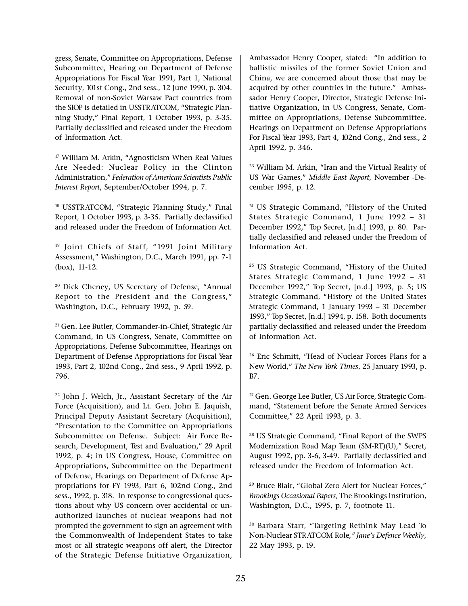gress, Senate, Committee on Appropriations, Defense Subcommittee, Hearing on Department of Defense Appropriations For Fiscal Year 1991, Part 1, National Security, 101st Cong., 2nd sess., 12 June 1990, p. 304. Removal of non-Soviet Warsaw Pact countries from the SIOP is detailed in USSTRATCOM, "Strategic Planning Study," Final Report, 1 October 1993, p. 3-35. Partially declassified and released under the Freedom of Information Act.

 $17$  William M. Arkin, "Agnosticism When Real Values Are Needed: Nuclear Policy in the Clinton Administration," Federation of American Scientists Public Interest Report, September/October 1994, p. 7.

<sup>18</sup> USSTRATCOM, "Strategic Planning Study," Final Report, 1 October 1993, p. 3-35. Partially declassified and released under the Freedom of Information Act.

<sup>19</sup> Joint Chiefs of Staff, "1991 Joint Military Assessment," Washington, D.C., March 1991, pp. 7-1 (box), 11-12.

<sup>20</sup> Dick Cheney, US Secretary of Defense, "Annual Report to the President and the Congress, Washington, D.C., February 1992, p. 59.

21 Gen. Lee Butler, Commander-in-Chief, Strategic Air Command, in US Congress, Senate, Committee on Appropriations, Defense Subcommittee, Hearings on Department of Defense Appropriations for Fiscal Year 1993, Part 2, 102nd Cong., 2nd sess., 9 April 1992, p. 796.

22 John J. Welch, Jr., Assistant Secretary of the Air Force (Acquisition), and Lt. Gen. John E. Jaquish, Principal Deputy Assistant Secretary (Acquisition), Presentation to the Committee on Appropriations Subcommittee on Defense. Subject: Air Force Research, Development, Test and Evaluation," 29 April 1992, p. 4; in US Congress, House, Committee on Appropriations, Subcommittee on the Department of Defense, Hearings on Department of Defense Appropriations for FY 1993, Part 6, 102nd Cong., 2nd sess., 1992, p. 318. In response to congressional questions about why US concern over accidental or unauthorized launches of nuclear weapons had not prompted the government to sign an agreement with the Commonwealth of Independent States to take most or all strategic weapons off alert, the Director of the Strategic Defense Initiative Organization,

Ambassador Henry Cooper, stated: "In addition to ballistic missiles of the former Soviet Union and China, we are concerned about those that may be acquired by other countries in the future." Ambassador Henry Cooper, Director, Strategic Defense Initiative Organization, in US Congress, Senate, Committee on Appropriations, Defense Subcommittee, Hearings on Department on Defense Appropriations For Fiscal Year 1993, Part 4, 102nd Cong., 2nd sess., 2 April 1992, p. 346.

<sup>23</sup> William M. Arkin, "Iran and the Virtual Reality of US War Games," Middle East Report, November -December 1995, p. 12.

<sup>24</sup> US Strategic Command, "History of the United States Strategic Command, 1 June 1992 - 31 December 1992," Top Secret, [n.d.] 1993, p. 80. Partially declassified and released under the Freedom of Information Act.

<sup>25</sup> US Strategic Command, "History of the United States Strategic Command, 1 June 1992 - 31 December 1992," Top Secret, [n.d.] 1993, p. 5; US Strategic Command, "History of the United States Strategic Command, 1 January 1993 - 31 December 1993," Top Secret, [n.d.] 1994, p. 158. Both documents partially declassified and released under the Freedom of Information Act.

<sup>26</sup> Eric Schmitt, "Head of Nuclear Forces Plans for a New World," The New York Times, 25 January 1993, p. B7.

<sup>27</sup> Gen. George Lee Butler, US Air Force, Strategic Command, "Statement before the Senate Armed Services Committee," 22 April 1993, p. 3.

<sup>28</sup> US Strategic Command, "Final Report of the SWPS Modernization Road Map Team (SM-RT)(U)," Secret, August 1992, pp. 3-6, 3-49. Partially declassified and released under the Freedom of Information Act.

<sup>29</sup> Bruce Blair, "Global Zero Alert for Nuclear Forces," Brookings Occasional Papers, The Brookings Institution, Washington, D.C., 1995, p. 7, footnote 11.

<sup>30</sup> Barbara Starr, "Targeting Rethink May Lead To Non-Nuclear STRATCOM Role," Jane's Defence Weekly, 22 May 1993, p. 19.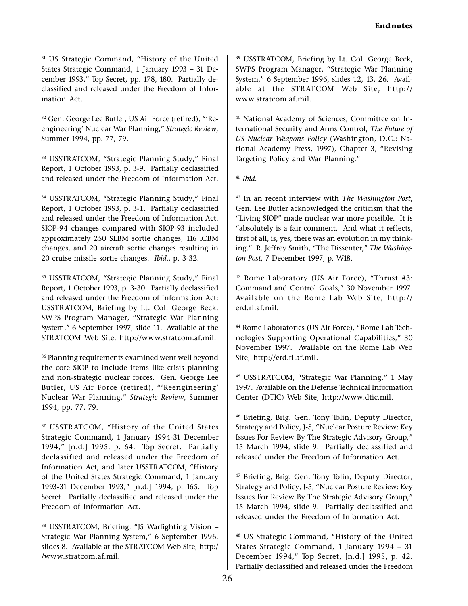<sup>31</sup> US Strategic Command, "History of the United States Strategic Command, 1 January 1993 - 31 December 1993," Top Secret, pp. 178, 180. Partially declassified and released under the Freedom of Information Act.

<sup>32</sup> Gen. George Lee Butler, US Air Force (retired), "'Reengineering' Nuclear War Planning," Strategic Review, Summer 1994, pp. 77, 79.

33 USSTRATCOM, "Strategic Planning Study," Final Report, 1 October 1993, p. 3-9. Partially declassified and released under the Freedom of Information Act.

34 USSTRATCOM, "Strategic Planning Study," Final Report, 1 October 1993, p. 3-1. Partially declassified and released under the Freedom of Information Act. SIOP-94 changes compared with SIOP-93 included approximately 250 SLBM sortie changes, 116 ICBM changes, and 20 aircraft sortie changes resulting in 20 cruise missile sortie changes. Ibid., p. 3-32.

<sup>35</sup> USSTRATCOM, "Strategic Planning Study," Final Report, 1 October 1993, p. 3-30. Partially declassified and released under the Freedom of Information Act; USSTRATCOM, Briefing by Lt. Col. George Beck, SWPS Program Manager, "Strategic War Planning System," 6 September 1997, slide 11. Available at the STRATCOM Web Site, http://www.stratcom.af.mil.

36 Planning requirements examined went well beyond the core SIOP to include items like crisis planning and non-strategic nuclear forces. Gen. George Lee Butler, US Air Force (retired), "'Reengineering' Nuclear War Planning," Strategic Review, Summer 1994, pp. 77, 79.

<sup>37</sup> USSTRATCOM, "History of the United States Strategic Command, 1 January 1994-31 December 1994," [n.d.] 1995, p. 64. Top Secret. Partially declassified and released under the Freedom of Information Act, and later USSTRATCOM, "History of the United States Strategic Command, 1 January 1993-31 December 1993," [n.d.] 1994, p. 165. Top Secret. Partially declassified and released under the Freedom of Information Act.

<sup>38</sup> USSTRATCOM, Briefing, "J5 Warfighting Vision -Strategic War Planning System," 6 September 1996, slides 8. Available at the STRATCOM Web Site, http:/ /www.stratcom.af.mil.

39 USSTRATCOM, Briefing by Lt. Col. George Beck, SWPS Program Manager, "Strategic War Planning System," 6 September 1996, slides 12, 13, 26. Available at the STR ATCOM Web Site, http:// www.stratcom.af.mil.

40 National Academy of Sciences, Committee on International Security and Arms Control, The Future of US Nuclear Weapons Policy (Washington, D.C.: National Academy Press, 1997), Chapter 3, "Revising Targeting Policy and War Planning.

 $41$  Ibid.

 $42$  In an recent interview with The Washington Post, Gen. Lee Butler acknowledged the criticism that the "Living SIOP" made nuclear war more possible. It is "absolutely is a fair comment. And what it reflects, first of all, is, yes, there was an evolution in my thinking." R. Jeffrey Smith, "The Dissenter," The Washington Post, 7 December 1997, p. W18.

<sup>43</sup> Rome Laboratory (US Air Force), "Thrust #3: Command and Control Goals," 30 November 1997. Available on the Rome Lab Web Site, http:// erd.rl.af.mil.

<sup>44</sup> Rome Laboratories (US Air Force), "Rome Lab Technologies Supporting Operational Capabilities," 30 November 1997. Available on the Rome Lab Web Site, http://erd.rl.af.mil.

<sup>45</sup> USSTRATCOM, "Strategic War Planning," 1 May 1997. Available on the Defense Technical Information Center (DTIC) Web Site, http://www.dtic.mil.

46 Briefing, Brig. Gen. Tony Tolin, Deputy Director, Strategy and Policy, J-5, "Nuclear Posture Review: Key Issues For Review By The Strategic Advisory Group, 15 March 1994, slide 9. Partially declassified and released under the Freedom of Information Act.

47 Briefing, Brig. Gen. Tony Tolin, Deputy Director, Strategy and Policy, J-5, "Nuclear Posture Review: Key Issues For Review By The Strategic Advisory Group, 15 March 1994, slide 9. Partially declassified and released under the Freedom of Information Act.

<sup>48</sup> US Strategic Command, "History of the United States Strategic Command, 1 January 1994 - 31 December 1994," Top Secret, [n.d.] 1995, p. 42. Partially declassified and released under the Freedom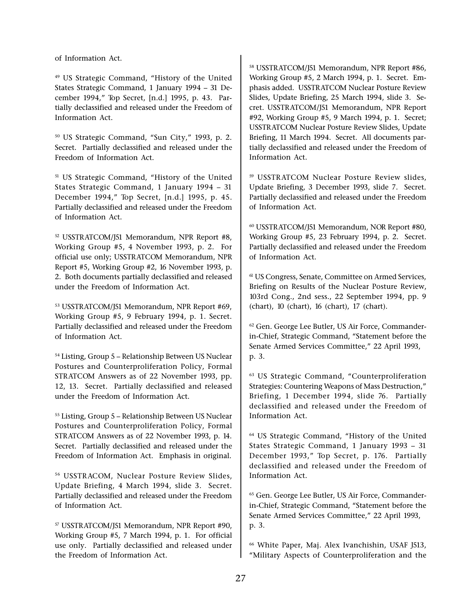of Information Act.

<sup>49</sup> US Strategic Command, "History of the United States Strategic Command, 1 January 1994 - 31 December 1994," Top Secret, [n.d.] 1995, p. 43. Partially declassified and released under the Freedom of Information Act.

<sup>50</sup> US Strategic Command, "Sun City," 1993, p. 2. Secret. Partially declassified and released under the Freedom of Information Act.

<sup>51</sup> US Strategic Command, "History of the United States Strategic Command, 1 January 1994 - 31 December 1994," Top Secret, [n.d.] 1995, p. 45. Partially declassified and released under the Freedom of Information Act.

52 USSTRATCOM/J51 Memorandum, NPR Report #8, Working Group #5, 4 November 1993, p. 2. For official use only; USSTRATCOM Memorandum, NPR Report #5, Working Group #2, 16 November 1993, p. 2. Both documents partially declassified and released under the Freedom of Information Act.

53 USSTRATCOM/J51 Memorandum, NPR Report #69, Working Group #5, 9 February 1994, p. 1. Secret. Partially declassified and released under the Freedom of Information Act.

<sup>54</sup> Listing, Group 5 - Relationship Between US Nuclear Postures and Counterproliferation Policy, Formal STRATCOM Answers as of 22 November 1993, pp. 12, 13. Secret. Partially declassified and released under the Freedom of Information Act.

 $55$  Listing, Group 5 - Relationship Between US Nuclear Postures and Counterproliferation Policy, Formal STRATCOM Answers as of 22 November 1993, p. 14. Secret. Partially declassified and released under the Freedom of Information Act. Emphasis in original.

56 USSTR ACOM, Nuclear Posture Review Slides, Update Briefing, 4 March 1994, slide 3. Secret. Partially declassified and released under the Freedom of Information Act.

57 USSTRATCOM/J51 Memorandum, NPR Report #90, Working Group #5, 7 March 1994, p. 1. For official use only. Partially declassified and released under the Freedom of Information Act.

58 USSTRATCOM/J51 Memorandum, NPR Report #86, Working Group #5, 2 March 1994, p. 1. Secret. Emphasis added. USSTRATCOM Nuclear Posture Review Slides, Update Briefing, 25 March 1994, slide 3. Secret. USSTRATCOM/J51 Memorandum, NPR Report #92, Working Group #5, 9 March 1994, p. 1. Secret; USSTRATCOM Nuclear Posture Review Slides, Update Briefing, 11 March 1994. Secret. All documents partially declassified and released under the Freedom of Information Act.

59 USSTRATCOM Nuclear Posture Review slides, Update Briefing, 3 December 1993, slide 7. Secret. Partially declassified and released under the Freedom of Information Act.

60 USSTRATCOM/J51 Memorandum, NOR Report #80, Working Group #5, 23 February 1994, p. 2. Secret. Partially declassified and released under the Freedom of Information Act.

61 US Congress, Senate, Committee on Armed Services, Briefing on Results of the Nuclear Posture Review, 103rd Cong., 2nd sess., 22 September 1994, pp. 9 (chart), 10 (chart), 16 (chart), 17 (chart).

62 Gen. George Lee Butler, US Air Force, Commanderin-Chief, Strategic Command, "Statement before the Senate Armed Services Committee," 22 April 1993, p. 3.

<sup>63</sup> US Strategic Command, "Counterproliferation Strategies: Countering Weapons of Mass Destruction, Briefing, 1 December 1994, slide 76. Partially declassified and released under the Freedom of Information Act.

<sup>64</sup> US Strategic Command, "History of the United States Strategic Command, 1 January 1993 - 31 December 1993," Top Secret, p. 176. Partially declassified and released under the Freedom of Information Act.

65 Gen. George Lee Butler, US Air Force, Commanderin-Chief, Strategic Command, "Statement before the Senate Armed Services Committee," 22 April 1993, p. 3.

66 White Paper, Maj. Alex Ivanchishin, USAF J513, Military Aspects of Counterproliferation and the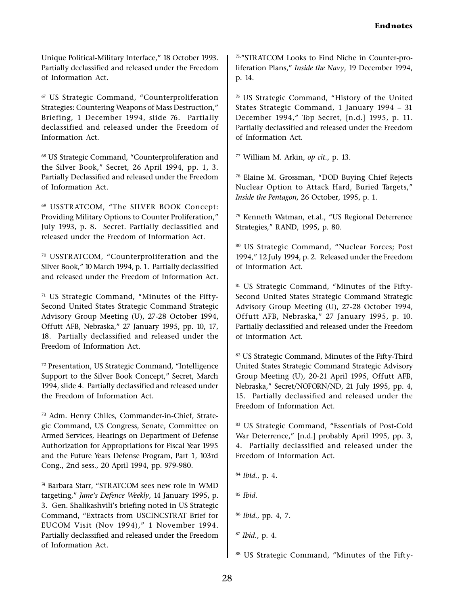Unique Political-Military Interface," 18 October 1993. Partially declassified and released under the Freedom of Information Act.

<sup>67</sup> US Strategic Command, "Counterproliferation Strategies: Countering Weapons of Mass Destruction, Briefing, 1 December 1994, slide 76. Partially declassified and released under the Freedom of Information Act.

<sup>68</sup> US Strategic Command, "Counterproliferation and the Silver Book," Secret,  $26$  April 1994, pp. 1, 3. Partially Declassified and released under the Freedom of Information Act.

69 USSTR ATCOM, The SILVER BOOK Concept: Providing Military Options to Counter Proliferation, July 1993, p. 8. Secret. Partially declassified and released under the Freedom of Information Act.

<sup>70</sup> USSTRATCOM, "Counterproliferation and the Silver Book," 10 March 1994, p. 1. Partially declassified and released under the Freedom of Information Act.

 $71$  US Strategic Command, "Minutes of the Fifty-Second United States Strategic Command Strategic Advisory Group Meeting (U), 27-28 October 1994, Offutt AFB, Nebraska," 27 January 1995, pp. 10, 17, 18. Partially declassified and released under the Freedom of Information Act.

72 Presentation, US Strategic Command, "Intelligence Support to the Silver Book Concept," Secret, March 1994, slide 4. Partially declassified and released under the Freedom of Information Act.

73 Adm. Henry Chiles, Commander-in-Chief, Strategic Command, US Congress, Senate, Committee on Armed Services, Hearings on Department of Defense Authorization for Appropriations for Fiscal Year 1995 and the Future Years Defense Program, Part 1, 103rd Cong., 2nd sess., 20 April 1994, pp. 979-980.

<sup>74</sup> Barbara Starr, "STRATCOM sees new role in WMD targeting," Jane's Defence Weekly, 14 January 1995, p. 3. Gen. Shalikashvili's briefing noted in US Strategic Command, "Extracts from USCINCSTRAT Brief for EUCOM Visit (Nov 1994)," 1 November 1994. Partially declassified and released under the Freedom of Information Act.

75."STRATCOM Looks to Find Niche in Counter-proliferation Plans," Inside the Navy, 19 December 1994, p. 14.

76 US Strategic Command, History of the United States Strategic Command, 1 January 1994 - 31 December 1994," Top Secret, [n.d.] 1995, p. 11. Partially declassified and released under the Freedom of Information Act.

77 William M. Arkin, op cit., p. 13.

<sup>78</sup> Elaine M. Grossman, "DOD Buying Chief Rejects Nuclear Option to Attack Hard, Buried Targets, Inside the Pentagon, 26 October, 1995, p. 1.

79 Kenneth Watman, et.al., "US Regional Deterrence Strategies," RAND, 1995, p. 80.

80 US Strategic Command, "Nuclear Forces; Post 1994, 12 July 1994, p. 2. Released under the Freedom of Information Act.

81 US Strategic Command, "Minutes of the Fifty-Second United States Strategic Command Strategic Advisory Group Meeting (U), 27-28 October 1994, Offutt AFB, Nebraska," 27 January 1995, p. 10. Partially declassified and released under the Freedom of Information Act.

82 US Strategic Command, Minutes of the Fifty-Third United States Strategic Command Strategic Advisory Group Meeting (U), 20-21 April 1995, Offutt AFB, Nebraska," Secret/NOFORN/ND, 21 July 1995, pp. 4, 15. Partially declassified and released under the Freedom of Information Act.

83 US Strategic Command, "Essentials of Post-Cold War Deterrence," [n.d.] probably April 1995, pp. 3, 4. Partially declassified and released under the Freedom of Information Act.

```
84 Ibid., p. 4.
85 Ibid.
86 Ibid., pp. 4, 7.
87 Ibid., p. 4.
```
88 US Strategic Command, "Minutes of the Fifty-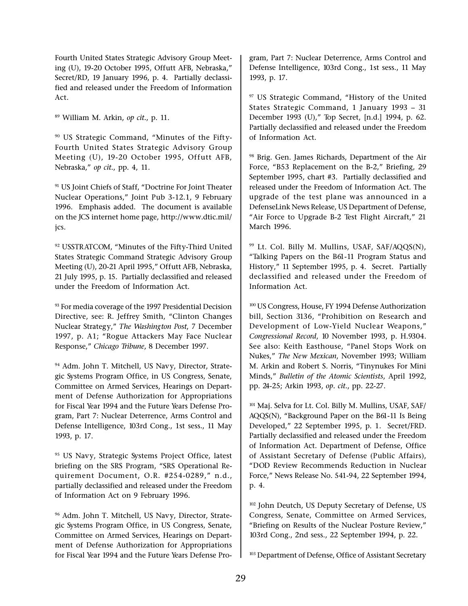Fourth United States Strategic Advisory Group Meeting (U), 19-20 October 1995, Offutt AFB, Nebraska, Secret/RD, 19 January 1996, p. 4. Partially declassified and released under the Freedom of Information Act.

89 William M. Arkin, op cit., p. 11.

<sup>90</sup> US Strategic Command, "Minutes of the Fifty-Fourth United States Strategic Advisory Group Meeting (U), 19-20 October 1995, Offutt AFB, Nebraska," op cit., pp. 4, 11.

<sup>91</sup> US Joint Chiefs of Staff, "Doctrine For Joint Theater Nuclear Operations," Joint Pub 3-12.1, 9 February 1996. Emphasis added. The document is available on the JCS internet home page, http://www.dtic.mil/ jcs.

92 USSTRATCOM, "Minutes of the Fifty-Third United States Strategic Command Strategic Advisory Group Meeting (U), 20-21 April 1995," Offutt AFB, Nebraska, 21 July 1995, p. 15. Partially declassified and released under the Freedom of Information Act.

<sup>93</sup> For media coverage of the 1997 Presidential Decision Directive, see: R. Jeffrey Smith, "Clinton Changes Nuclear Strategy," The Washington Post, 7 December 1997, p. A1; "Rogue Attackers May Face Nuclear Response," Chicago Tribune, 8 December 1997.

94 Adm. John T. Mitchell, US Navy, Director, Strategic Systems Program Office, in US Congress, Senate, Committee on Armed Services, Hearings on Department of Defense Authorization for Appropriations for Fiscal Year 1994 and the Future Years Defense Program, Part 7: Nuclear Deterrence, Arms Control and Defense Intelligence, 103rd Cong., 1st sess., 11 May 1993, p. 17.

95 US Navy, Strategic Systems Project Office, latest briefing on the SRS Program, "SRS Operational Requirement Document, O.R. #254-0289," n.d., partially declassified and released under the Freedom of Information Act on 9 February 1996.

96 Adm. John T. Mitchell, US Navy, Director, Strategic Systems Program Office, in US Congress, Senate, Committee on Armed Services, Hearings on Department of Defense Authorization for Appropriations for Fiscal Year 1994 and the Future Years Defense Program, Part 7: Nuclear Deterrence, Arms Control and Defense Intelligence, 103rd Cong., 1st sess., 11 May 1993, p. 17.

<sup>97</sup> US Strategic Command, "History of the United States Strategic Command, 1 January 1993 - 31 December 1993 (U)," Top Secret, [n.d.] 1994, p. 62. Partially declassified and released under the Freedom of Information Act.

<sup>98</sup> Brig. Gen. James Richards, Department of the Air Force, "B53 Replacement on the B-2," Briefing, 29 September 1995, chart #3. Partially declassified and released under the Freedom of Information Act. The upgrade of the test plane was announced in a DefenseLink News Release, US Department of Defense, "Air Force to Upgrade B-2 Test Flight Aircraft," 21 March 1996.

99 Lt. Col. Billy M. Mullins, USAF, SAF/AQQS(N), Talking Papers on the B61-11 Program Status and History," 11 September 1995, p. 4. Secret. Partially declassified and released under the Freedom of Information Act.

100 US Congress, House, FY 1994 Defense Authorization bill, Section 3136, "Prohibition on Research and Development of Low-Yield Nuclear Weapons, Congressional Record, 10 November 1993, p. H.9304. See also: Keith Easthouse, "Panel Stops Work on Nukes," The New Mexican, November 1993; William M. Arkin and Robert S. Norris, "Tinynukes For Mini Minds," Bulletin of the Atomic Scientists, April 1992, pp. 24-25; Arkin 1993, op. cit., pp. 22-27.

101 Maj. Selva for Lt. Col. Billy M. Mullins, USAF, SAF/ AQQS(N), "Background Paper on the B61-11 Is Being Developed," 22 September 1995, p. 1. Secret/FRD. Partially declassified and released under the Freedom of Information Act. Department of Defense, Office of Assistant Secretary of Defense (Public Affairs), DOD Review Recommends Reduction in Nuclear Force," News Release No. 541-94, 22 September 1994, p. 4.

102 John Deutch, US Deputy Secretary of Defense, US Congress, Senate, Committee on Armed Services, "Briefing on Results of the Nuclear Posture Review," 103rd Cong., 2nd sess., 22 September 1994, p. 22.

103 Department of Defense, Office of Assistant Secretary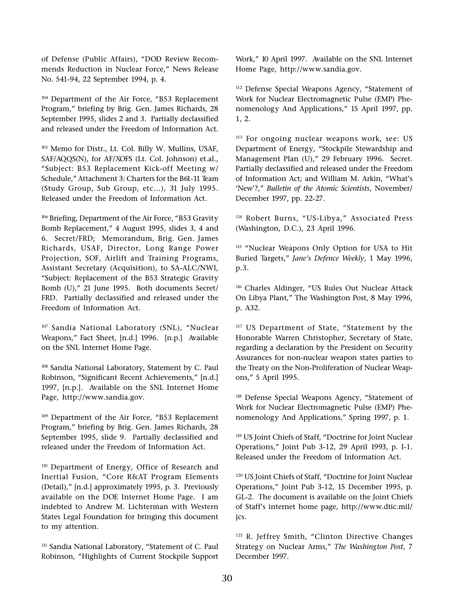of Defense (Public Affairs), "DOD Review Recommends Reduction in Nuclear Force," News Release No. 541-94, 22 September 1994, p. 4.

104 Department of the Air Force, "B53 Replacement Program," briefing by Brig. Gen. James Richards, 28 September 1995, slides 2 and 3. Partially declassified and released under the Freedom of Information Act.

105 Memo for Distr., Lt. Col. Billy W. Mullins, USAF, SAF/AQQS(N), for AF/XOFS (Lt. Col. Johnson) et.al., Subject: B53 Replacement Kick-off Meeting w/ Schedule," Attachment 3: Charters for the B61-11 Team (Study Group, Sub Group, etc...), 31 July 1995. Released under the Freedom of Information Act.

<sup>106</sup> Briefing, Department of the Air Force, "B53 Gravity Bomb Replacement," 4 August 1995, slides 3, 4 and 6. Secret/FRD; Memorandum, Brig. Gen. James Richards, USAF, Director, Long Range Power Projection, SOF, Airlift and Training Programs, Assistant Secretary (Acquisition), to SA-ALC/NWI, Subject: Replacement of the B53 Strategic Gravity Bomb (U)," 21 June 1995. Both documents Secret/ FRD. Partially declassified and released under the Freedom of Information Act.

<sup>107</sup> Sandia National Laboratory (SNL), "Nuclear Weapons," Fact Sheet, [n.d.] 1996. [n.p.] Available on the SNL Internet Home Page.

108 Sandia National Laboratory, Statement by C. Paul Robinson, "Significant Recent Achievements," [n.d.] 1997, [n.p.]. Available on the SNL Internet Home Page, http://www.sandia.gov.

 $109$  Department of the Air Force, "B53 Replacement Program," briefing by Brig. Gen. James Richards, 28 September 1995, slide 9. Partially declassified and released under the Freedom of Information Act.

<sup>110</sup> Department of Energy, Office of Research and Inertial Fusion, "Core R&AT Program Elements (Detail)," [n.d.] approximately 1995, p. 3. Previously available on the DOE Internet Home Page. I am indebted to Andrew M. Lichterman with Western States Legal Foundation for bringing this document to my attention.

<sup>111</sup> Sandia National Laboratory, "Statement of C. Paul Robinson, "Highlights of Current Stockpile Support Work," 10 April 1997. Available on the SNL Internet Home Page, http://www.sandia.gov.

<sup>112</sup> Defense Special Weapons Agency, "Statement of Work for Nuclear Electromagnetic Pulse (EMP) Phenomenology And Applications," 15 April 1997, pp. 1, 2.

113 For ongoing nuclear weapons work, see: US Department of Energy, "Stockpile Stewardship and Management Plan (U)," 29 February 1996. Secret. Partially declassified and released under the Freedom of Information Act; and William M. Arkin, "What's 'New'?," Bulletin of the Atomic Scientists, November/ December 1997, pp. 22-27.

114 Robert Burns, "US-Libya," Associated Press (Washington, D.C.), 23 April 1996.

<sup>115</sup> "Nuclear Weapons Only Option for USA to Hit Buried Targets," Jane's Defence Weekly, 1 May 1996, p.3.

<sup>116</sup> Charles Aldinger, "US Rules Out Nuclear Attack On Libya Plant," The Washington Post, 8 May 1996, p. A32.

<sup>117</sup> US Department of State, "Statement by the Honorable Warren Christopher, Secretary of State, regarding a declaration by the President on Security Assurances for non-nuclear weapon states parties to the Treaty on the Non-Proliferation of Nuclear Weapons," 5 April 1995.

<sup>118</sup> Defense Special Weapons Agency, "Statement of Work for Nuclear Electromagnetic Pulse (EMP) Phenomenology And Applications," Spring 1997, p. 1.

<sup>119</sup> US Joint Chiefs of Staff, "Doctrine for Joint Nuclear Operations," Joint Pub 3-12, 29 April 1993, p. I-1. Released under the Freedom of Information Act.

<sup>120</sup> US Joint Chiefs of Staff, "Doctrine for Joint Nuclear Operations," Joint Pub 3-12, 15 December 1995, p. GL-2. The document is available on the Joint Chiefs of Staff's internet home page, http://www.dtic.mil/ jcs.

<sup>121</sup> R. Jeffrey Smith, "Clinton Directive Changes Strategy on Nuclear Arms," The Washington Post, 7 December 1997.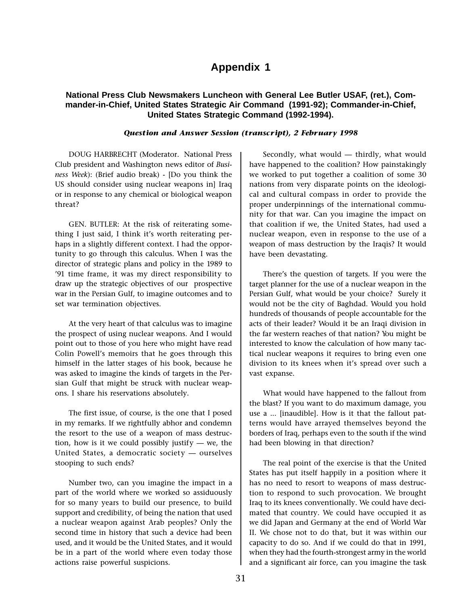# **Appendix 1**

### **National Press Club Newsmakers Luncheon with General Lee Butler USAF, (ret.), Commander-in-Chief, United States Strategic Air Command (1991-92); Commander-in-Chief, United States Strategic Command (1992-1994).**

#### Question and Answer Session (transcript), 2 February 1998

DOUG HARBRECHT (Moderator. National Press Club president and Washington news editor of Business Week): (Brief audio break) - [Do you think the US should consider using nuclear weapons in] Iraq or in response to any chemical or biological weapon threat?

GEN. BUTLER: At the risk of reiterating something I just said, I think it's worth reiterating perhaps in a slightly different context. I had the opportunity to go through this calculus. When I was the director of strategic plans and policy in the 1989 to 91 time frame, it was my direct responsibility to draw up the strategic objectives of our prospective war in the Persian Gulf, to imagine outcomes and to set war termination objectives.

At the very heart of that calculus was to imagine the prospect of using nuclear weapons. And I would point out to those of you here who might have read Colin Powell's memoirs that he goes through this himself in the latter stages of his book, because he was asked to imagine the kinds of targets in the Persian Gulf that might be struck with nuclear weapons. I share his reservations absolutely.

The first issue, of course, is the one that I posed in my remarks. If we rightfully abhor and condemn the resort to the use of a weapon of mass destruction, how is it we could possibly justify  $-$  we, the United States, a democratic society  $-$  ourselves stooping to such ends?

Number two, can you imagine the impact in a part of the world where we worked so assiduously for so many years to build our presence, to build support and credibility, of being the nation that used a nuclear weapon against Arab peoples? Only the second time in history that such a device had been used, and it would be the United States, and it would be in a part of the world where even today those actions raise powerful suspicions.

Secondly, what would  $-$  thirdly, what would have happened to the coalition? How painstakingly we worked to put together a coalition of some 30 nations from very disparate points on the ideological and cultural compass in order to provide the proper underpinnings of the international community for that war. Can you imagine the impact on that coalition if we, the United States, had used a nuclear weapon, even in response to the use of a weapon of mass destruction by the Iraqis? It would have been devastating.

There's the question of targets. If you were the target planner for the use of a nuclear weapon in the Persian Gulf, what would be your choice? Surely it would not be the city of Baghdad. Would you hold hundreds of thousands of people accountable for the acts of their leader? Would it be an Iraqi division in the far western reaches of that nation? You might be interested to know the calculation of how many tactical nuclear weapons it requires to bring even one division to its knees when it's spread over such a vast expanse.

What would have happened to the fallout from the blast? If you want to do maximum damage, you use a ... [inaudible]. How is it that the fallout patterns would have arrayed themselves beyond the borders of Iraq, perhaps even to the south if the wind had been blowing in that direction?

The real point of the exercise is that the United States has put itself happily in a position where it has no need to resort to weapons of mass destruction to respond to such provocation. We brought Iraq to its knees conventionally. We could have decimated that country. We could have occupied it as we did Japan and Germany at the end of World War II. We chose not to do that, but it was within our capacity to do so. And if we could do that in 1991, when they had the fourth-strongest army in the world and a significant air force, can you imagine the task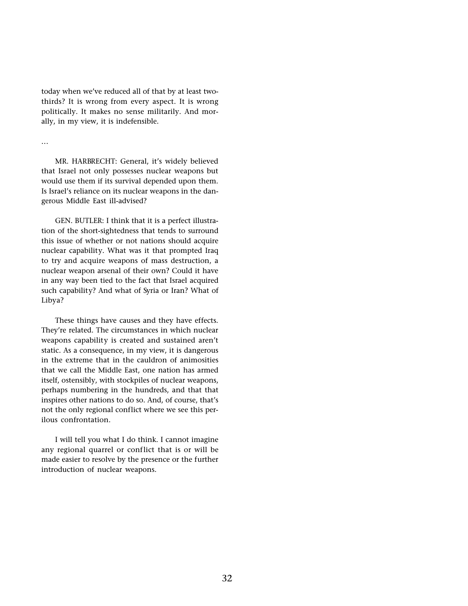today when we've reduced all of that by at least twothirds? It is wrong from every aspect. It is wrong politically. It makes no sense militarily. And morally, in my view, it is indefensible.

...

MR. HARBRECHT: General, it's widely believed that Israel not only possesses nuclear weapons but would use them if its survival depended upon them. Is Israel's reliance on its nuclear weapons in the dangerous Middle East ill-advised?

GEN. BUTLER: I think that it is a perfect illustration of the short-sightedness that tends to surround this issue of whether or not nations should acquire nuclear capability. What was it that prompted Iraq to try and acquire weapons of mass destruction, a nuclear weapon arsenal of their own? Could it have in any way been tied to the fact that Israel acquired such capability? And what of Syria or Iran? What of Libya?

These things have causes and they have effects. They're related. The circumstances in which nuclear weapons capability is created and sustained aren't static. As a consequence, in my view, it is dangerous in the extreme that in the cauldron of animosities that we call the Middle East, one nation has armed itself, ostensibly, with stockpiles of nuclear weapons, perhaps numbering in the hundreds, and that that inspires other nations to do so. And, of course, that's not the only regional conflict where we see this perilous confrontation.

I will tell you what I do think. I cannot imagine any regional quarrel or conflict that is or will be made easier to resolve by the presence or the further introduction of nuclear weapons.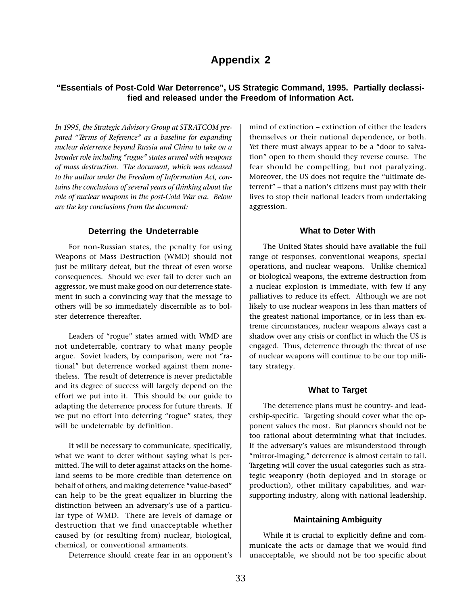# **Appendix 2**

# **"Essentials of Post-Cold War Deterrence", US Strategic Command, 1995. Partially declassified and released under the Freedom of Information Act.**

In 1995, the Strategic Advisory Group at STRATCOM prepared "Terms of Reference" as a baseline for expanding nuclear deter rence beyond Russia and China to take on a broader role including "rogue" states armed with weapons of mass destruction. The document, which was released to the author under the Freedom of Information Act, contains the conclusions of several years of thinking about the role of nuclear weapons in the post-Cold War era. Below are the key conclusions from the document:

#### **Deterring the Undeterrable**

For non-Russian states, the penalty for using Weapons of Mass Destruction (WMD) should not just be military defeat, but the threat of even worse consequences. Should we ever fail to deter such an aggressor, we must make good on our deterrence statement in such a convincing way that the message to others will be so immediately discernible as to bolster deterrence thereafter.

Leaders of "rogue" states armed with WMD are not undeterrable, contrary to what many people argue. Soviet leaders, by comparison, were not "rational" but deterrence worked against them nonetheless. The result of deterrence is never predictable and its degree of success will largely depend on the effort we put into it. This should be our guide to adapting the deterrence process for future threats. If we put no effort into deterring "rogue" states, they will be undeterrable by definition.

It will be necessary to communicate, specifically, what we want to deter without saying what is permitted. The will to deter against attacks on the homeland seems to be more credible than deterrence on behalf of others, and making deterrence "value-based" can help to be the great equalizer in blurring the distinction between an adversary's use of a particular type of WMD. There are levels of damage or destruction that we find unacceptable whether caused by (or resulting from) nuclear, biological, chemical, or conventional armaments.

Deterrence should create fear in an opponent's

mind of extinction - extinction of either the leaders themselves or their national dependence, or both. Yet there must always appear to be a "door to salvation" open to them should they reverse course. The fear should be compelling, but not paralyzing. Moreover, the US does not require the "ultimate deterrent" - that a nation's citizens must pay with their lives to stop their national leaders from undertaking aggression.

#### **What to Deter With**

The United States should have available the full range of responses, conventional weapons, special operations, and nuclear weapons. Unlike chemical or biological weapons, the extreme destruction from a nuclear explosion is immediate, with few if any palliatives to reduce its effect. Although we are not likely to use nuclear weapons in less than matters of the greatest national importance, or in less than extreme circumstances, nuclear weapons always cast a shadow over any crisis or conflict in which the US is engaged. Thus, deterrence through the threat of use of nuclear weapons will continue to be our top military strategy.

#### **What to Target**

The deterrence plans must be country- and leadership-specific. Targeting should cover what the opponent values the most. But planners should not be too rational about determining what that includes. If the adversary's values are misunderstood through "mirror-imaging," deterrence is almost certain to fail. Targeting will cover the usual categories such as strategic weaponry (both deployed and in storage or production), other military capabilities, and warsupporting industry, along with national leadership.

#### **Maintaining Ambiguity**

While it is crucial to explicitly define and communicate the acts or damage that we would find unacceptable, we should not be too specific about